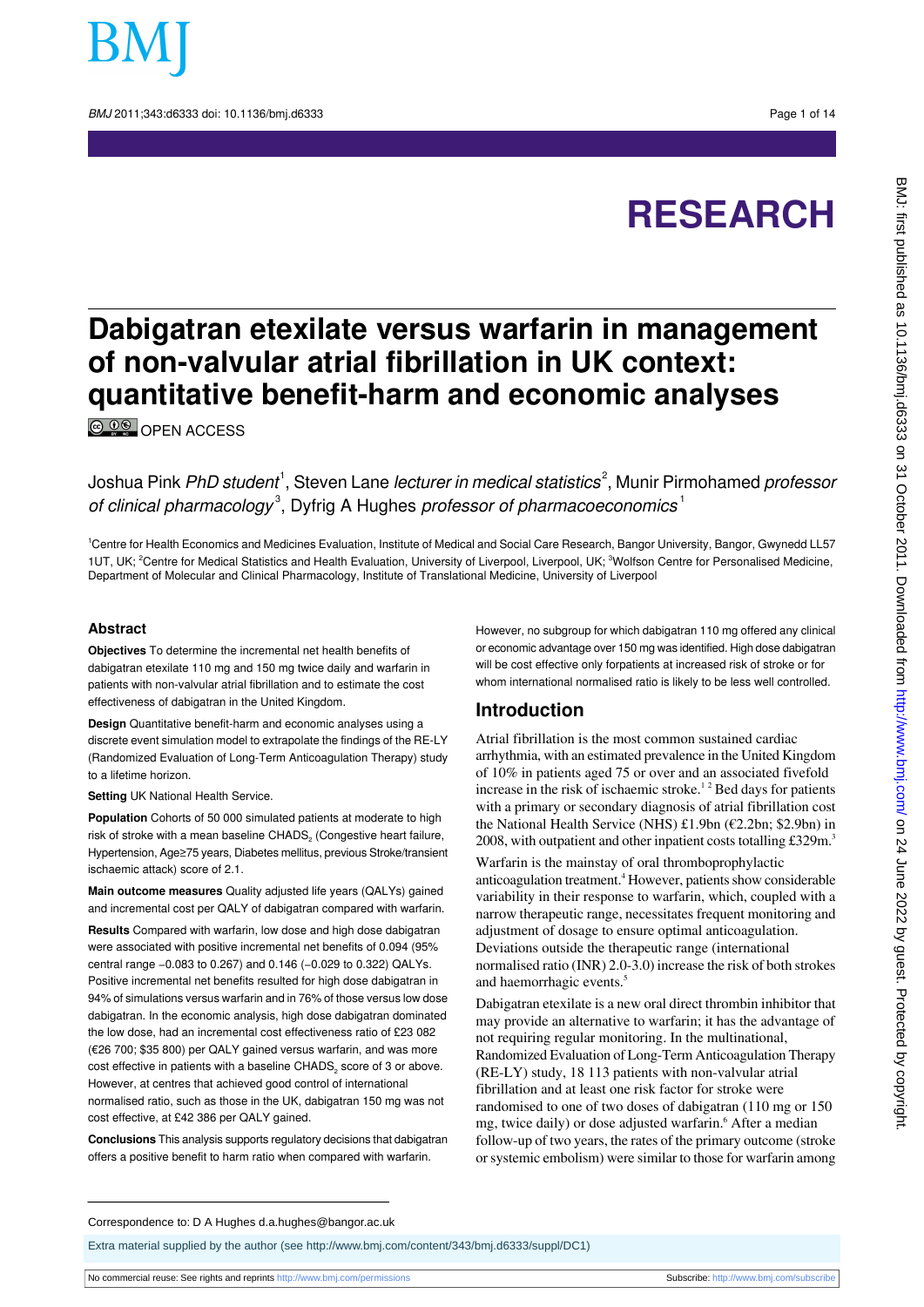BMJ 2011:343:d6333 doi: 10.1136/bmi.d6333 Page 1 of 14

# **RESEARCH**

## **Dabigatran etexilate versus warfarin in management of non-valvular atrial fibrillation in UK context: quantitative benefit-harm and economic analyses**

COO OPEN ACCESS

Joshua Pink *PhD student<sup>1</sup>,* Steven Lane *lecturer in medical statistics<sup>2</sup>,* Munir Pirmohamed *professor* of clinical pharmacology<sup>3</sup>, Dyfrig A Hughes professor of pharmacoeconomics<sup>1</sup>

<sup>1</sup>Centre for Health Economics and Medicines Evaluation, Institute of Medical and Social Care Research, Bangor University, Bangor, Gwynedd LL57 1UT, UK; <sup>2</sup>Centre for Medical Statistics and Health Evaluation, University of Liverpool, Liverpool, UK; <sup>3</sup>Wolfson Centre for Personalised Medicine, Department of Molecular and Clinical Pharmacology, Institute of Translational Medicine, University of Liverpool

#### **Abstract**

**Objectives** To determine the incremental net health benefits of dabigatran etexilate 110 mg and 150 mg twice daily and warfarin in patients with non-valvular atrial fibrillation and to estimate the cost effectiveness of dabigatran in the United Kingdom.

**Design** Quantitative benefit-harm and economic analyses using a discrete event simulation model to extrapolate the findings of the RE-LY (Randomized Evaluation of Long-Term Anticoagulation Therapy) study to a lifetime horizon.

**Setting UK National Health Service.** 

**Population** Cohorts of 50 000 simulated patients at moderate to high risk of stroke with a mean baseline  $\mathtt{CHADS}_2$  (Congestive heart failure, Hypertension, Age≥75 years, Diabetes mellitus, previous Stroke/transient ischaemic attack) score of 2.1.

**Main outcome measures** Quality adjusted life years (QALYs) gained and incremental cost per QALY of dabigatran compared with warfarin.

**Results** Compared with warfarin, low dose and high dose dabigatran were associated with positive incremental net benefits of 0.094 (95% central range −0.083 to 0.267) and 0.146 (−0.029 to 0.322) QALYs. Positive incremental net benefits resulted for high dose dabigatran in 94% of simulations versus warfarin and in 76% of those versus low dose dabigatran. In the economic analysis, high dose dabigatran dominated the low dose, had an incremental cost effectiveness ratio of £23 082 (€26 700; \$35 800) per QALY gained versus warfarin, and was more cost effective in patients with a baseline  $\mathtt{CHADS}_2$  score of 3 or above. However, at centres that achieved good control of international normalised ratio, such as those in the UK, dabigatran 150 mg was not cost effective, at £42 386 per QALY gained.

**Conclusions** This analysis supports regulatory decisions that dabigatran offers a positive benefit to harm ratio when compared with warfarin.

However, no subgroup for which dabigatran 110 mg offered any clinical or economic advantage over 150 mg was identified. High dose dabigatran will be cost effective only forpatients at increased risk of stroke or for whom international normalised ratio is likely to be less well controlled.

#### **Introduction**

Atrial fibrillation is the most common sustained cardiac arrhythmia, with an estimated prevalence in the United Kingdom of 10% in patients aged 75 or over and an associated fivefold increase in the risk of ischaemic stroke.<sup>12</sup> Bed days for patients with a primary or secondary diagnosis of atrial fibrillation cost the National Health Service (NHS) £1.9bn (€2.2bn; \$2.9bn) in 2008, with outpatient and other inpatient costs totalling £329m.<sup>3</sup>

Warfarin is the mainstay of oral thromboprophylactic anticoagulation treatment.<sup>4</sup> However, patients show considerable variability in their response to warfarin, which, coupled with a narrow therapeutic range, necessitates frequent monitoring and adjustment of dosage to ensure optimal anticoagulation. Deviations outside the therapeutic range (international normalised ratio (INR) 2.0-3.0) increase the risk of both strokes and haemorrhagic events.<sup>5</sup>

Dabigatran etexilate is a new oral direct thrombin inhibitor that may provide an alternative to warfarin; it has the advantage of not requiring regular monitoring. In the multinational, Randomized Evaluation of Long-Term Anticoagulation Therapy (RE-LY) study, 18 113 patients with non-valvular atrial fibrillation and at least one risk factor for stroke were randomised to one of two doses of dabigatran (110 mg or 150 mg, twice daily) or dose adjusted warfarin.<sup>6</sup> After a median follow-up of two years, the rates of the primary outcome (stroke or systemic embolism) were similar to those for warfarin among

Extra material supplied by the author (see [http://www.bmj.com/content/343/bmj.d6333/suppl/DC1\)](http://www.bmj.com/content/343/bmj.d6333/suppl/DC1)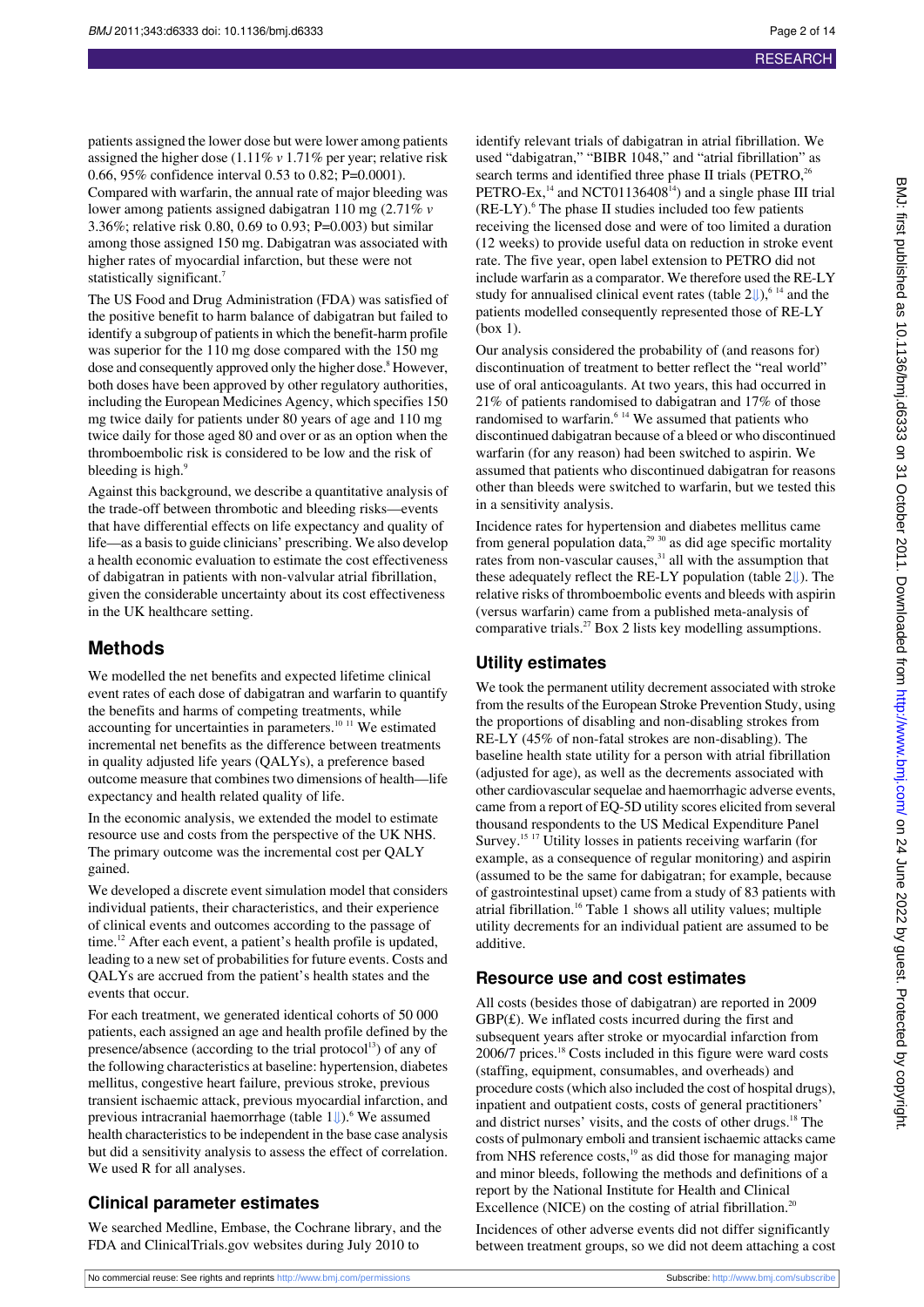patients assigned the lower dose but were lower among patients assigned the higher dose (1.11% *v* 1.71% per year; relative risk 0.66, 95% confidence interval 0.53 to 0.82; P=0.0001). Compared with warfarin, the annual rate of major bleeding was lower among patients assigned dabigatran 110 mg (2.71% *v* 3.36%; relative risk 0.80, 0.69 to 0.93; P=0.003) but similar among those assigned 150 mg. Dabigatran was associated with higher rates of myocardial infarction, but these were not statistically significant.<sup>7</sup>

The US Food and Drug Administration (FDA) was satisfied of the positive benefit to harm balance of dabigatran but failed to identify a subgroup of patients in which the benefit-harm profile was superior for the 110 mg dose compared with the 150 mg dose and consequently approved only the higher dose.<sup>8</sup> However, both doses have been approved by other regulatory authorities, including the European Medicines Agency, which specifies 150 mg twice daily for patients under 80 years of age and 110 mg twice daily for those aged 80 and over or as an option when the thromboembolic risk is considered to be low and the risk of bleeding is high.<sup>9</sup>

Against this background, we describe a quantitative analysis of the trade-off between thrombotic and bleeding risks—events that have differential effects on life expectancy and quality of life—as a basis to guide clinicians' prescribing. We also develop a health economic evaluation to estimate the cost effectiveness of dabigatran in patients with non-valvular atrial fibrillation, given the considerable uncertainty about its cost effectiveness in the UK healthcare setting.

#### **Methods**

We modelled the net benefits and expected lifetime clinical event rates of each dose of dabigatran and warfarin to quantify the benefits and harms of competing treatments, while accounting for uncertainties in parameters.10 11 We estimated incremental net benefits as the difference between treatments in quality adjusted life years (QALYs), a preference based outcome measure that combines two dimensions of health—life expectancy and health related quality of life.

In the economic analysis, we extended the model to estimate resource use and costs from the perspective of the UK NHS. The primary outcome was the incremental cost per QALY gained.

We developed a discrete event simulation model that considers individual patients, their characteristics, and their experience of clinical events and outcomes according to the passage of time.<sup>12</sup> After each event, a patient's health profile is updated, leading to a new set of probabilities for future events. Costs and QALYs are accrued from the patient's health states and the events that occur.

For each treatment, we generated identical cohorts of 50 000 patients, each assigned an age and health profile defined by the presence/absence (according to the trial protocol<sup>13</sup>) of any of the following characteristics at baseline: hypertension, diabetes mellitus, congestive heart failure, previous stroke, previous transient ischaemic attack, previous myocardial infarction, and previousintracranial haemorrhage (table  $1 \downarrow$ ).<sup>6</sup> We assumed health characteristics to be independent in the base case analysis but did a sensitivity analysis to assess the effect of correlation. We used R for all analyses.

#### **Clinical parameter estimates**

We searched Medline, Embase, the Cochrane library, and the FDA and ClinicalTrials.gov websites during July 2010 to

identify relevant trials of dabigatran in atrial fibrillation. We used "dabigatran," "BIBR 1048," and "atrial fibrillation" as search terms and identified three phase II trials (PETRO,<sup>26</sup> PETRO-Ex,<sup>14</sup> and NCT01136408<sup>14</sup>) and a single phase III trial  $(RE-LY)$ .<sup>6</sup> The phase II studies included too few patients receiving the licensed dose and were of too limited a duration (12 weeks) to provide useful data on reduction in stroke event rate. The five year, open label extension to PETRO did not include warfarin as a comparator. We therefore used the RE-LY studyfor annualised clinical event rates (table  $2\sqrt{2}$ ), <sup>614</sup> and the patients modelled consequently represented those of RE-LY (box 1).

Our analysis considered the probability of (and reasons for) discontinuation of treatment to better reflect the "real world" use of oral anticoagulants. At two years, this had occurred in 21% of patients randomised to dabigatran and 17% of those randomised to warfarin.<sup>6 14</sup> We assumed that patients who discontinued dabigatran because of a bleed or who discontinued warfarin (for any reason) had been switched to aspirin. We assumed that patients who discontinued dabigatran for reasons other than bleeds were switched to warfarin, but we tested this in a sensitivity analysis.

Incidence rates for hypertension and diabetes mellitus came from general population data, $29^{30}$  as did age specific mortality rates from non-vascular causes, $31$  all with the assumption that these adequately reflect the RE-LY population (table [2⇓\)](#page-9-0). The relative risks of thromboembolic events and bleeds with aspirin (versus warfarin) came from a published meta-analysis of comparative trials.<sup>27</sup> Box 2 lists key modelling assumptions.

#### **Utility estimates**

We took the permanent utility decrement associated with stroke from the results of the European Stroke Prevention Study, using the proportions of disabling and non-disabling strokes from RE-LY (45% of non-fatal strokes are non-disabling). The baseline health state utility for a person with atrial fibrillation (adjusted for age), as well as the decrements associated with other cardiovascular sequelae and haemorrhagic adverse events, came from a report of EQ-5D utility scores elicited from several thousand respondents to the US Medical Expenditure Panel Survey.<sup>15 17</sup> Utility losses in patients receiving warfarin (for example, as a consequence of regular monitoring) and aspirin (assumed to be the same for dabigatran; for example, because of gastrointestinal upset) came from a study of 83 patients with atrial fibrillation.<sup>16</sup> Table 1 shows all utility values; multiple utility decrements for an individual patient are assumed to be additive.

#### **Resource use and cost estimates**

All costs (besides those of dabigatran) are reported in 2009  $GBP(f)$ . We inflated costs incurred during the first and subsequent years after stroke or myocardial infarction from 2006/7 prices.<sup>18</sup> Costs included in this figure were ward costs (staffing, equipment, consumables, and overheads) and procedure costs (which also included the cost of hospital drugs), inpatient and outpatient costs, costs of general practitioners' and district nurses' visits, and the costs of other drugs.<sup>18</sup> The costs of pulmonary emboli and transient ischaemic attacks came from NHS reference costs,<sup>19</sup> as did those for managing major and minor bleeds, following the methods and definitions of a report by the National Institute for Health and Clinical Excellence (NICE) on the costing of atrial fibrillation.<sup>20</sup> Incidences of other adverse events did not differ significantly between treatment groups, so we did not deem attaching a cost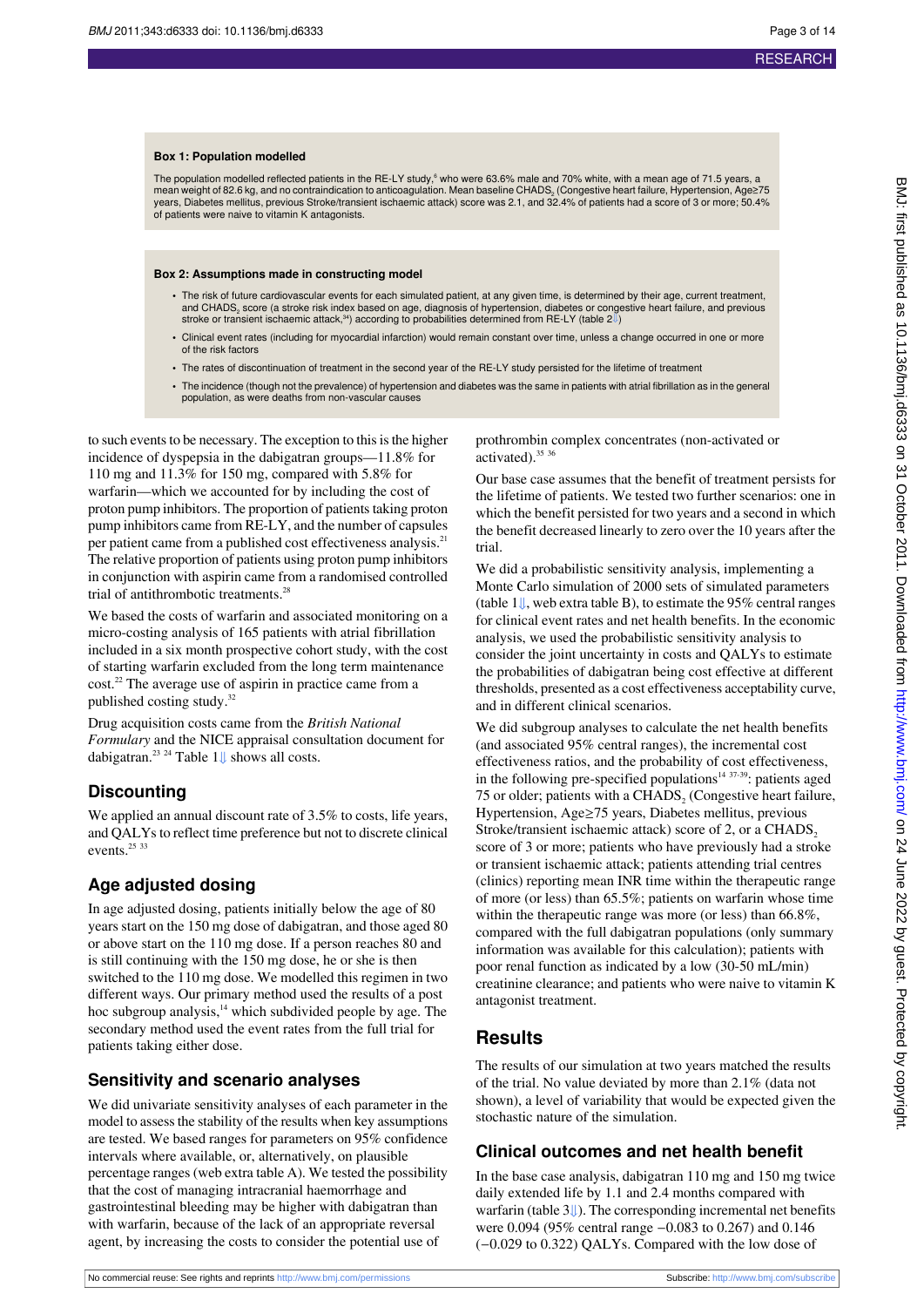#### **Box 1: Population modelled**

The population modelled reflected patients in the RE-LY study,<sup>6</sup> who were 63.6% male and 70% white, with a mean age of 71.5 years, a mean weight of 82.6 kg, and no contraindication to anticoagulation. Mean baseline CHADS $_{\tiny 2}$  (Congestive heart failure, Hypertension, Age≥75 years, Diabetes mellitus, previous Stroke/transient ischaemic attack) score was 2.1, and 32.4% of patients had a score of 3 or more; 50.4% of patients were naive to vitamin K antagonists.

#### **Box 2: Assumptions made in constructing model**

- **•** The risk of future cardiovascular events for each simulated patient, at any given time, is determined by their age, current treatment, and CHADS<sub>2</sub> score (a stroke risk index based on age, diagnosis of hypertension, diabetes or congestive heart failure, and previous strokeor transient ischaemic attack,<sup>34</sup>) according to probabilities determined from RE-LY (table 2 $\mathbb{U}$ )
- **•** Clinical event rates (including for myocardial infarction) would remain constant over time, unless a change occurred in one or more of the risk factors
- **•** The rates of discontinuation of treatment in the second year of the RE-LY study persisted for the lifetime of treatment
- **•** The incidence (though not the prevalence) of hypertension and diabetes was the same in patients with atrial fibrillation as in the general population, as were deaths from non-vascular causes

to such events to be necessary. The exception to this is the higher incidence of dyspepsia in the dabigatran groups—11.8% for 110 mg and 11.3% for 150 mg, compared with 5.8% for warfarin—which we accounted for by including the cost of proton pump inhibitors. The proportion of patients taking proton pump inhibitors came from RE-LY, and the number of capsules per patient came from a published cost effectiveness analysis.<sup>21</sup> The relative proportion of patients using proton pump inhibitors in conjunction with aspirin came from a randomised controlled trial of antithrombotic treatments.<sup>24</sup>

We based the costs of warfarin and associated monitoring on a micro-costing analysis of 165 patients with atrial fibrillation included in a six month prospective cohort study, with the cost of starting warfarin excluded from the long term maintenance cost.<sup>22</sup> The average use of aspirin in practice came from a published costing study.<sup>32</sup>

Drug acquisition costs came from the *British National Formulary* and the NICE appraisal consultation document for dabigatran.<sup>23 24</sup> Table 1 $\downarrow$  shows all costs.

#### **Discounting**

We applied an annual discount rate of 3.5% to costs, life years, and QALYs to reflect time preference but not to discrete clinical events.<sup>25</sup> 33

#### **Age adjusted dosing**

In age adjusted dosing, patients initially below the age of 80 years start on the 150 mg dose of dabigatran, and those aged 80 or above start on the 110 mg dose. If a person reaches 80 and is still continuing with the 150 mg dose, he or she is then switched to the 110 mg dose. We modelled this regimen in two different ways. Our primary method used the results of a post hoc subgroup analysis,<sup>14</sup> which subdivided people by age. The secondary method used the event rates from the full trial for patients taking either dose.

#### **Sensitivity and scenario analyses**

We did univariate sensitivity analyses of each parameter in the model to assess the stability of the results when key assumptions are tested. We based ranges for parameters on 95% confidence intervals where available, or, alternatively, on plausible percentage ranges (web extra table A). We tested the possibility that the cost of managing intracranial haemorrhage and gastrointestinal bleeding may be higher with dabigatran than with warfarin, because of the lack of an appropriate reversal agent, by increasing the costs to consider the potential use of

prothrombin complex concentrates (non-activated or activated).35 36

Our base case assumes that the benefit of treatment persists for the lifetime of patients. We tested two further scenarios: one in which the benefit persisted for two years and a second in which the benefit decreased linearly to zero over the 10 years after the trial.

We did a probabilistic sensitivity analysis, implementing a Monte Carlo simulation of 2000 sets of simulated parameters (table [1⇓](#page-7-0), web extra table B), to estimate the 95% central ranges for clinical event rates and net health benefits. In the economic analysis, we used the probabilistic sensitivity analysis to consider the joint uncertainty in costs and QALYs to estimate the probabilities of dabigatran being cost effective at different thresholds, presented as a cost effectiveness acceptability curve, and in different clinical scenarios.

We did subgroup analyses to calculate the net health benefits (and associated 95% central ranges), the incremental cost effectiveness ratios, and the probability of cost effectiveness, in the following pre-specified populations<sup>14 37-39</sup>: patients aged 75 or older; patients with a  $\text{CHADS}_2$  (Congestive heart failure, Hypertension, Age≥75 years, Diabetes mellitus, previous Stroke/transient ischaemic attack) score of 2, or a CHADS, score of 3 or more; patients who have previously had a stroke or transient ischaemic attack; patients attending trial centres (clinics) reporting mean INR time within the therapeutic range of more (or less) than 65.5%; patients on warfarin whose time within the therapeutic range was more (or less) than 66.8%, compared with the full dabigatran populations (only summary information was available for this calculation); patients with poor renal function as indicated by a low (30-50 mL/min) creatinine clearance; and patients who were naive to vitamin K antagonist treatment.

#### **Results**

The results of our simulation at two years matched the results of the trial. No value deviated by more than 2.1% (data not shown), a level of variability that would be expected given the stochastic nature of the simulation.

#### **Clinical outcomes and net health benefit**

In the base case analysis, dabigatran 110 mg and 150 mg twice daily extended life by 1.1 and 2.4 months compared with warfarin (table [3⇓](#page-10-0)). The corresponding incremental net benefits were 0.094 (95% central range −0.083 to 0.267) and 0.146 (−0.029 to 0.322) QALYs. Compared with the low dose of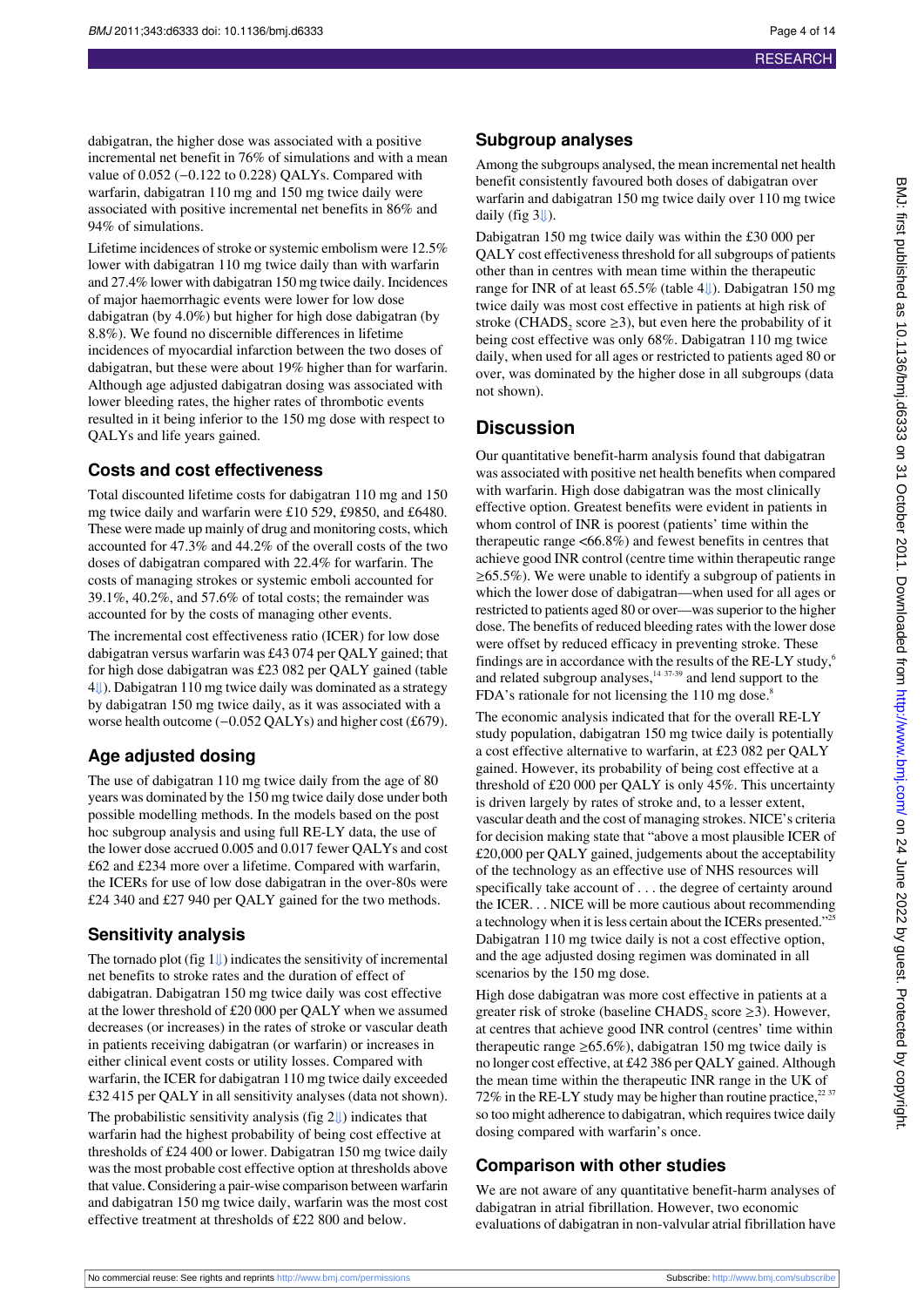dabigatran, the higher dose was associated with a positive incremental net benefit in 76% of simulations and with a mean value of 0.052 (−0.122 to 0.228) QALYs. Compared with warfarin, dabigatran 110 mg and 150 mg twice daily were associated with positive incremental net benefits in 86% and 94% of simulations.

Lifetime incidences of stroke or systemic embolism were 12.5% lower with dabigatran 110 mg twice daily than with warfarin and 27.4% lower with dabigatran 150 mg twice daily. Incidences of major haemorrhagic events were lower for low dose dabigatran (by 4.0%) but higher for high dose dabigatran (by 8.8%). We found no discernible differences in lifetime incidences of myocardial infarction between the two doses of dabigatran, but these were about 19% higher than for warfarin. Although age adjusted dabigatran dosing was associated with lower bleeding rates, the higher rates of thrombotic events resulted in it being inferior to the 150 mg dose with respect to QALYs and life years gained.

#### **Costs and cost effectiveness**

Total discounted lifetime costs for dabigatran 110 mg and 150 mg twice daily and warfarin were £10 529, £9850, and £6480. These were made up mainly of drug and monitoring costs, which accounted for 47.3% and 44.2% of the overall costs of the two doses of dabigatran compared with 22.4% for warfarin. The costs of managing strokes or systemic emboli accounted for 39.1%, 40.2%, and 57.6% of total costs; the remainder was accounted for by the costs of managing other events.

The incremental cost effectiveness ratio (ICER) for low dose dabigatran versus warfarin was £43 074 per QALY gained; that for high dose dabigatran was £23 082 per QALY gained (table [4⇓](#page-11-0)). Dabigatran 110 mg twice daily was dominated as a strategy by dabigatran 150 mg twice daily, as it was associated with a worse health outcome (−0.052 QALYs) and higher cost (£679).

#### **Age adjusted dosing**

The use of dabigatran 110 mg twice daily from the age of 80 years was dominated by the 150 mg twice daily dose under both possible modelling methods. In the models based on the post hoc subgroup analysis and using full RE-LY data, the use of the lower dose accrued 0.005 and 0.017 fewer QALYs and cost £62 and £234 more over a lifetime. Compared with warfarin, the ICERs for use of low dose dabigatran in the over-80s were £24 340 and £27 940 per QALY gained for the two methods.

#### **Sensitivity analysis**

Thetornado plot (fig  $1 \Downarrow$ ) indicates the sensitivity of incremental net benefits to stroke rates and the duration of effect of dabigatran. Dabigatran 150 mg twice daily was cost effective at the lower threshold of £20 000 per QALY when we assumed decreases (or increases) in the rates of stroke or vascular death in patients receiving dabigatran (or warfarin) or increases in either clinical event costs or utility losses. Compared with warfarin, the ICER for dabigatran 110 mg twice daily exceeded £32 415 per QALY in all sensitivity analyses (data not shown). Theprobabilistic sensitivity analysis (fig  $2 \downarrow$ ) indicates that warfarin had the highest probability of being cost effective at thresholds of £24 400 or lower. Dabigatran 150 mg twice daily was the most probable cost effective option at thresholds above that value. Considering a pair-wise comparison between warfarin and dabigatran 150 mg twice daily, warfarin was the most cost effective treatment at thresholds of £22 800 and below.

#### **Subgroup analyses**

Among the subgroups analysed, the mean incremental net health benefit consistently favoured both doses of dabigatran over warfarin and dabigatran 150 mg twice daily over 110 mg twice daily(fig  $3\downarrow$ ).

Dabigatran 150 mg twice daily was within the £30 000 per QALY cost effectiveness threshold for all subgroups of patients other than in centres with mean time within the therapeutic range for INR of at least 65.5% (table4[⇓](#page-11-0)). Dabigatran 150 mg twice daily was most cost effective in patients at high risk of stroke (CHADS<sub>2</sub> score  $\geq$ 3), but even here the probability of it being cost effective was only 68%. Dabigatran 110 mg twice daily, when used for all ages or restricted to patients aged 80 or over, was dominated by the higher dose in all subgroups (data not shown).

#### **Discussion**

Our quantitative benefit-harm analysis found that dabigatran was associated with positive net health benefits when compared with warfarin. High dose dabigatran was the most clinically effective option. Greatest benefits were evident in patients in whom control of INR is poorest (patients' time within the therapeutic range <66.8%) and fewest benefits in centres that achieve good INR control (centre time within therapeutic range  $\geq 65.5\%$ ). We were unable to identify a subgroup of patients in which the lower dose of dabigatran—when used for all ages or restricted to patients aged 80 or over—was superior to the higher dose. The benefits of reduced bleeding rates with the lower dose were offset by reduced efficacy in preventing stroke. These findings are in accordance with the results of the RE-LY study,<sup>6</sup> and related subgroup analyses, $14 \frac{37-39}{9}$  and lend support to the FDA's rationale for not licensing the 110 mg dose.<sup>8</sup>

The economic analysis indicated that for the overall RE-LY study population, dabigatran 150 mg twice daily is potentially a cost effective alternative to warfarin, at £23 082 per QALY gained. However, its probability of being cost effective at a threshold of £20 000 per QALY is only 45%. This uncertainty is driven largely by rates of stroke and, to a lesser extent, vascular death and the cost of managing strokes. NICE's criteria for decision making state that "above a most plausible ICER of £20,000 per QALY gained, judgements about the acceptability of the technology as an effective use of NHS resources will specifically take account of . . . the degree of certainty around the ICER. . . NICE will be more cautious about recommending a technology when it is less certain about the ICERs presented." Dabigatran 110 mg twice daily is not a cost effective option, and the age adjusted dosing regimen was dominated in all scenarios by the 150 mg dose.

High dose dabigatran was more cost effective in patients at a greater risk of stroke (baseline  $\text{CHADS}_2$  score  $\geq 3$ ). However, at centres that achieve good INR control (centres' time within therapeutic range  $\geq 65.6\%$ ), dabigatran 150 mg twice daily is no longer cost effective, at £42 386 per QALY gained. Although the mean time within the therapeutic INR range in the UK of 72% in the RE-LY study may be higher than routine practice,  $2^{237}$ so too might adherence to dabigatran, which requires twice daily dosing compared with warfarin's once.

#### **Comparison with other studies**

We are not aware of any quantitative benefit-harm analyses of dabigatran in atrial fibrillation. However, two economic evaluations of dabigatran in non-valvular atrial fibrillation have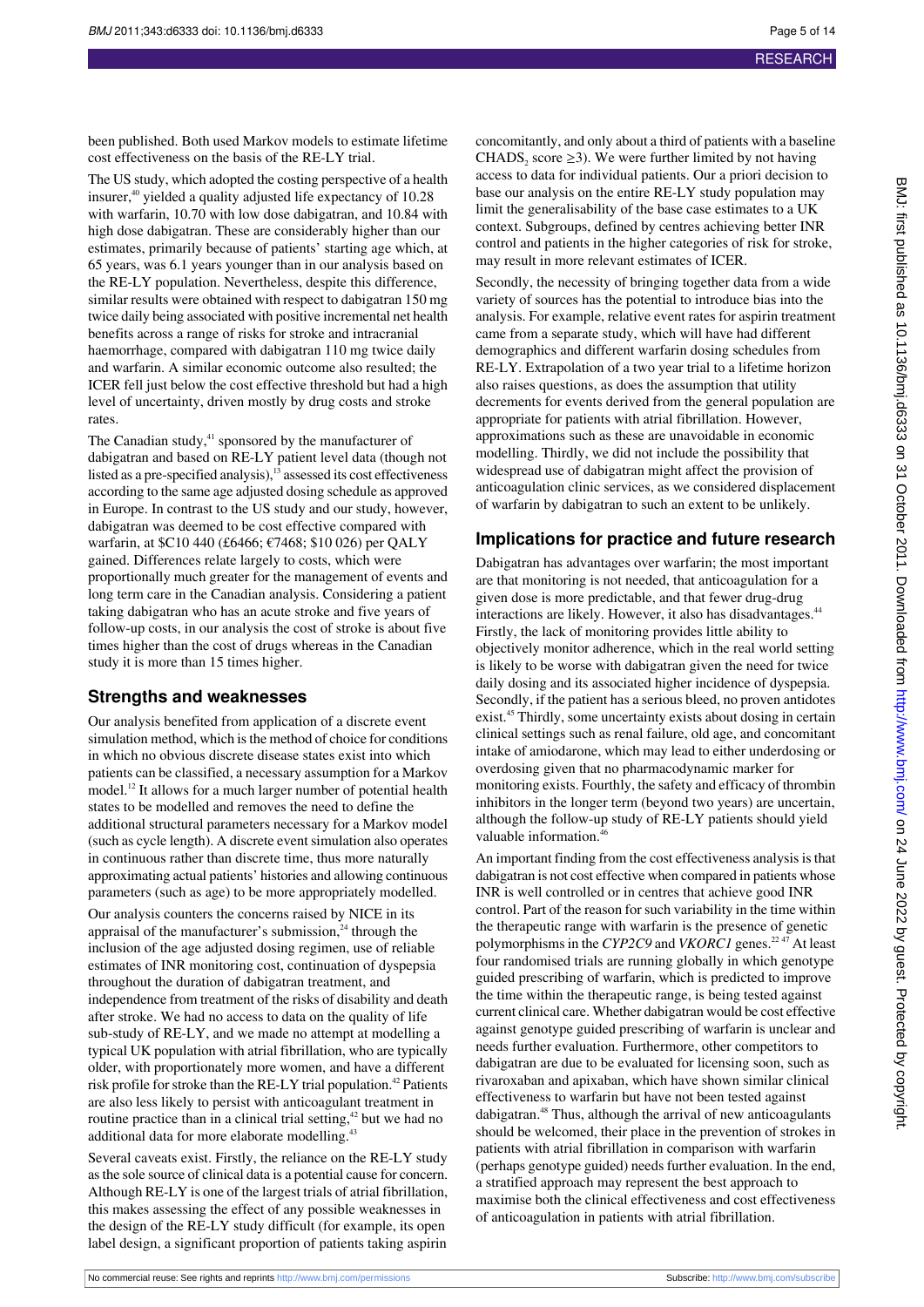been published. Both used Markov models to estimate lifetime cost effectiveness on the basis of the RE-LY trial.

The US study, which adopted the costing perspective of a health insurer,<sup>40</sup> yielded a quality adjusted life expectancy of 10.28 with warfarin, 10.70 with low dose dabigatran, and 10.84 with high dose dabigatran. These are considerably higher than our estimates, primarily because of patients' starting age which, at 65 years, was 6.1 years younger than in our analysis based on the RE-LY population. Nevertheless, despite this difference, similar results were obtained with respect to dabigatran 150 mg twice daily being associated with positive incremental net health benefits across a range of risks for stroke and intracranial haemorrhage, compared with dabigatran 110 mg twice daily and warfarin. A similar economic outcome also resulted; the ICER fell just below the cost effective threshold but had a high level of uncertainty, driven mostly by drug costs and stroke rates.

The Canadian study,<sup>41</sup> sponsored by the manufacturer of dabigatran and based on RE-LY patient level data (though not listed as a pre-specified analysis), $^{13}$  assessed its cost effectiveness according to the same age adjusted dosing schedule as approved in Europe. In contrast to the US study and our study, however, dabigatran was deemed to be cost effective compared with warfarin, at \$C10 440 (£6466; €7468; \$10 026) per QALY gained. Differences relate largely to costs, which were proportionally much greater for the management of events and long term care in the Canadian analysis. Considering a patient taking dabigatran who has an acute stroke and five years of follow-up costs, in our analysis the cost of stroke is about five times higher than the cost of drugs whereas in the Canadian study it is more than 15 times higher.

#### **Strengths and weaknesses**

Our analysis benefited from application of a discrete event simulation method, which is the method of choice for conditions in which no obvious discrete disease states exist into which patients can be classified, a necessary assumption for a Markov model.<sup>12</sup> It allows for a much larger number of potential health states to be modelled and removes the need to define the additional structural parameters necessary for a Markov model (such as cycle length). A discrete event simulation also operates in continuous rather than discrete time, thus more naturally approximating actual patients' histories and allowing continuous parameters (such as age) to be more appropriately modelled.

Our analysis counters the concerns raised by NICE in its appraisal of the manufacturer's submission, $24$  through the inclusion of the age adjusted dosing regimen, use of reliable estimates of INR monitoring cost, continuation of dyspepsia throughout the duration of dabigatran treatment, and independence from treatment of the risks of disability and death after stroke. We had no access to data on the quality of life sub-study of RE-LY, and we made no attempt at modelling a typical UK population with atrial fibrillation, who are typically older, with proportionately more women, and have a different risk profile for stroke than the RE-LY trial population.<sup>42</sup> Patients are also less likely to persist with anticoagulant treatment in routine practice than in a clinical trial setting,<sup>42</sup> but we had no additional data for more elaborate modelling.<sup>43</sup>

Several caveats exist. Firstly, the reliance on the RE-LY study as the sole source of clinical data is a potential cause for concern. Although RE-LY is one of the largest trials of atrial fibrillation, this makes assessing the effect of any possible weaknesses in the design of the RE-LY study difficult (for example, its open label design, a significant proportion of patients taking aspirin

concomitantly, and only about a third of patients with a baseline CHADS<sub>2</sub> score  $\geq$ 3). We were further limited by not having access to data for individual patients. Our a priori decision to base our analysis on the entire RE-LY study population may limit the generalisability of the base case estimates to a UK context. Subgroups, defined by centres achieving better INR control and patients in the higher categories of risk for stroke, may result in more relevant estimates of ICER.

Secondly, the necessity of bringing together data from a wide variety of sources has the potential to introduce bias into the analysis. For example, relative event rates for aspirin treatment came from a separate study, which will have had different demographics and different warfarin dosing schedules from RE-LY. Extrapolation of a two year trial to a lifetime horizon also raises questions, as does the assumption that utility decrements for events derived from the general population are appropriate for patients with atrial fibrillation. However, approximations such as these are unavoidable in economic modelling. Thirdly, we did not include the possibility that widespread use of dabigatran might affect the provision of anticoagulation clinic services, as we considered displacement of warfarin by dabigatran to such an extent to be unlikely.

#### **Implications for practice and future research**

Dabigatran has advantages over warfarin; the most important are that monitoring is not needed, that anticoagulation for a given dose is more predictable, and that fewer drug-drug interactions are likely. However, it also has disadvantages.<sup>44</sup> Firstly, the lack of monitoring provides little ability to objectively monitor adherence, which in the real world setting is likely to be worse with dabigatran given the need for twice daily dosing and its associated higher incidence of dyspepsia. Secondly, if the patient has a serious bleed, no proven antidotes exist.<sup>45</sup> Thirdly, some uncertainty exists about dosing in certain clinical settings such as renal failure, old age, and concomitant intake of amiodarone, which may lead to either underdosing or overdosing given that no pharmacodynamic marker for monitoring exists. Fourthly, the safety and efficacy of thrombin inhibitors in the longer term (beyond two years) are uncertain, although the follow-up study of RE-LY patients should yield valuable information.<sup>4</sup>

An important finding from the cost effectiveness analysis is that dabigatran is not cost effective when compared in patients whose INR is well controlled or in centres that achieve good INR control. Part of the reason for such variability in the time within the therapeutic range with warfarin is the presence of genetic polymorphisms in the *CYP2C9* and *VKORC1* genes.<sup>2247</sup> At least four randomised trials are running globally in which genotype guided prescribing of warfarin, which is predicted to improve the time within the therapeutic range, is being tested against current clinical care. Whether dabigatran would be cost effective against genotype guided prescribing of warfarin is unclear and needs further evaluation. Furthermore, other competitors to dabigatran are due to be evaluated for licensing soon, such as rivaroxaban and apixaban, which have shown similar clinical effectiveness to warfarin but have not been tested against dabigatran.<sup>48</sup> Thus, although the arrival of new anticoagulants should be welcomed, their place in the prevention of strokes in patients with atrial fibrillation in comparison with warfarin (perhaps genotype guided) needs further evaluation. In the end, a stratified approach may represent the best approach to maximise both the clinical effectiveness and cost effectiveness of anticoagulation in patients with atrial fibrillation.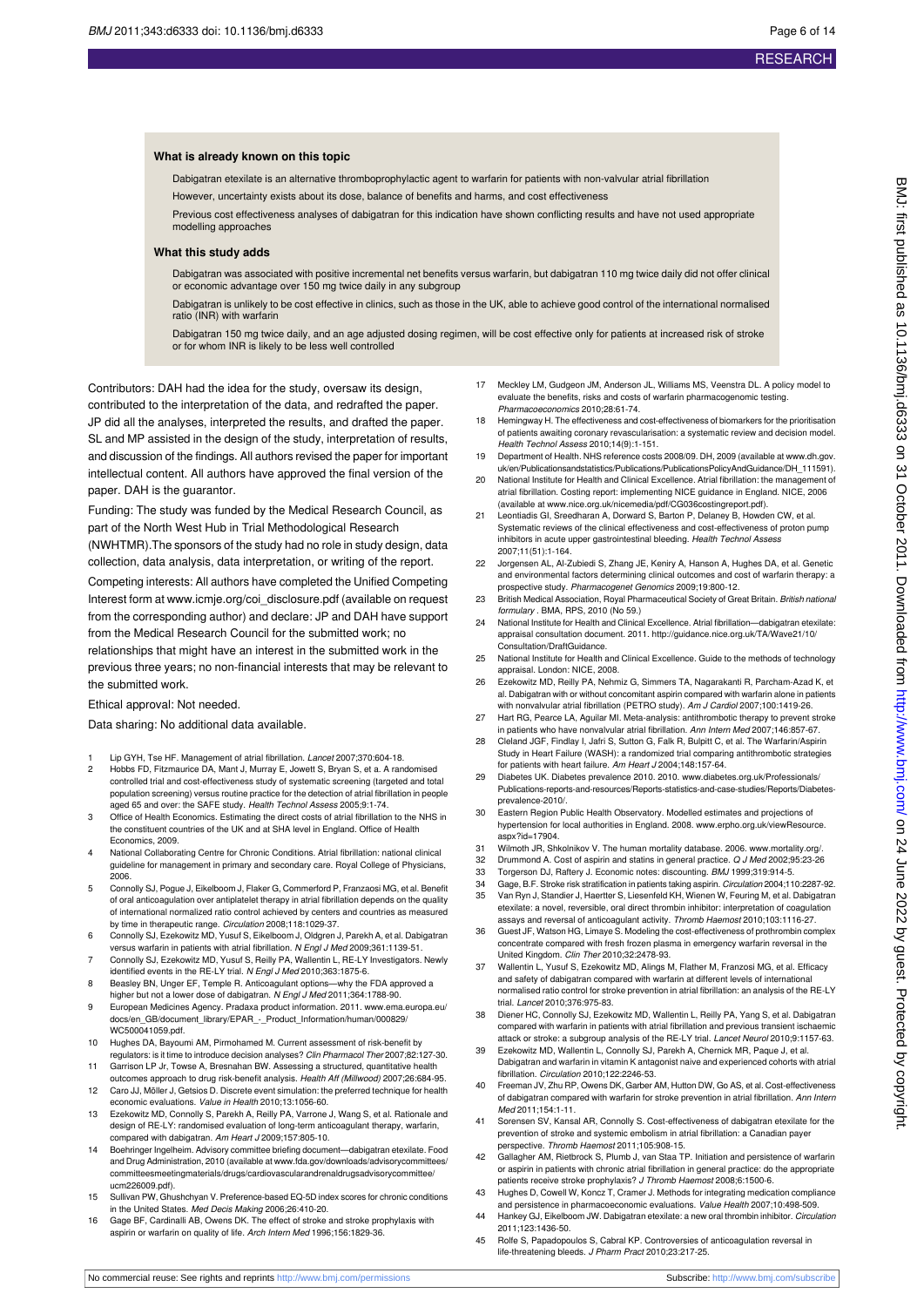#### **What is already known on this topic**

Dabigatran etexilate is an alternative thromboprophylactic agent to warfarin for patients with non-valvular atrial fibrillation

However, uncertainty exists about its dose, balance of benefits and harms, and cost effectiveness

Previous cost effectiveness analyses of dabigatran for this indication have shown conflicting results and have not used appropriate modelling approaches

#### **What this study adds**

Dabigatran was associated with positive incremental net benefits versus warfarin, but dabigatran 110 mg twice daily did not offer clinical or economic advantage over 150 mg twice daily in any subgroup

Dabigatran is unlikely to be cost effective in clinics, such as those in the UK, able to achieve good control of the international normalised ratio (INR) with warfarin

Dabigatran 150 mg twice daily, and an age adjusted dosing regimen, will be cost effective only for patients at increased risk of stroke or for whom INR is likely to be less well controlled

Contributors: DAH had the idea for the study, oversaw its design, contributed to the interpretation of the data, and redrafted the paper. JP did all the analyses, interpreted the results, and drafted the paper. SL and MP assisted in the design of the study, interpretation of results, and discussion of the findings. All authors revised the paper for important intellectual content. All authors have approved the final version of the paper. DAH is the guarantor.

Funding: The study was funded by the Medical Research Council, as part of the North West Hub in Trial Methodological Research (NWHTMR).The sponsors of the study had no role in study design, data collection, data analysis, data interpretation, or writing of the report.

Competing interests: All authors have completed the Unified Competing Interest form at [www.icmje.org/coi\\_disclosure.pdf](http://www.icmje.org/coi_disclosure.pdf) (available on request from the corresponding author) and declare: JP and DAH have support from the Medical Research Council for the submitted work; no relationships that might have an interest in the submitted work in the previous three years; no non-financial interests that may be relevant to the submitted work.

#### Ethical approval: Not needed.

#### Data sharing: No additional data available.

- 1 Lip GYH, Tse HF. Management of atrial fibrillation. Lancet 2007;370:604-18.<br>2 Hobbs FD. Fitzmaurice DA. Mant J. Murray E. Jowett S. Bryan S. et a. A ran
- Hobbs FD, Fitzmaurice DA, Mant J, Murray E, Jowett S, Bryan S, et a. A randomised controlled trial and cost-effectiveness study of systematic screening (targeted and total population screening) versus routine practice for the detection of atrial fibrillation in people aged 65 and over: the SAFE study. Health Technol Assess 2005;9:1-74.
- 3 Office of Health Economics. Estimating the direct costs of atrial fibrillation to the NHS in the constituent countries of the UK and at SHA level in England. Office of Health Economics, 2009.
- 4 National Collaborating Centre for Chronic Conditions. Atrial fibrillation: national clinical guideline for management in primary and secondary care. Royal College of Physicians, 2006.
- 5 Connolly SJ, Pogue J, Eikelboom J, Flaker G, Commerford P, Franzaosi MG, et al. Benefit of oral anticoagulation over antiplatelet therapy in atrial fibrillation depends on the quality of international normalized ratio control achieved by centers and countries as measured by time in therapeutic range. Circulation 2008;118:1029-37.
- 6 Connolly SJ, Ezekowitz MD, Yusuf S, Eikelboom J, Oldgren J, Parekh A, et al. Dabigatran
- versus warfarin in patients with atrial fibrillation. N Engl J Med 2009;361:1139-51. 7 Connolly SJ, Ezekowitz MD, Yusuf S, Reilly PA, Wallentin L, RE-LY Investigators. Newly identified events in the RE-LY trial. N Engl J Med 2010;363:1875-6.
- 8 Beasley BN, Unger EF, Temple R. Anticoagulant options—why the FDA approved a
- higher but not a lower dose of dabigatran. *N Engl J Med* 2011;364:1788-90.<br>9 European Medicines Agency. Pradaxa product information. 2011. [www.ema.europa.eu/](http://www.ema.europa.eu/docs/en_GB/document_library/EPAR_-_Product_Information/human/000829/WC500041059.pdf) [docs/en\\_GB/document\\_library/EPAR\\_-\\_Product\\_Information/human/000829/](http://www.ema.europa.eu/docs/en_GB/document_library/EPAR_-_Product_Information/human/000829/WC500041059.pdf) [WC500041059.pdf.](http://www.ema.europa.eu/docs/en_GB/document_library/EPAR_-_Product_Information/human/000829/WC500041059.pdf)
- 10 Hughes DA, Bayoumi AM, Pirmohamed M. Current assessment of risk-benefit by regulators: is it time to introduce decision analyses? Clin Pharmacol Ther 2007;82:127-30.
- 11 Garrison LP Jr, Towse A, Bresnahan BW. Assessing a structured, quantitative health outcomes approach to drug risk-benefit analysis. Health Aff (Millwood) 2007;26:684-95.
- 12 Caro JJ, Möller J, Getsios D. Discrete event simulation: the preferred technique for health economic evaluations. Value in Health 2010;13:1056-60.
- 13 Ezekowitz MD, Connolly S, Parekh A, Reilly PA, Varrone J, Wang S, et al. Rationale and design of RE-LY: randomised evaluation of long-term anticoagulant therapy, warfarin, compared with dabigatran. Am Heart J 2009;157:805-10.
- 14 Boehringer Ingelheim. Advisory committee briefing document—dabigatran etexilate. Food and Drug Administration, 2010 (available at [www.fda.gov/downloads/advisorycommittees/](http://www.fda.gov/downloads/advisorycommittees/committeesmeetingmaterials/drugs/cardiovascularandrenaldrugsadvisorycommittee/ucm226009.pdf) [committeesmeetingmaterials/drugs/cardiovascularandrenaldrugsadvisorycommittee/](http://www.fda.gov/downloads/advisorycommittees/committeesmeetingmaterials/drugs/cardiovascularandrenaldrugsadvisorycommittee/ucm226009.pdf) [ucm226009.pdf\)](http://www.fda.gov/downloads/advisorycommittees/committeesmeetingmaterials/drugs/cardiovascularandrenaldrugsadvisorycommittee/ucm226009.pdf).
- 15 Sullivan PW, Ghushchyan V. Preference-based EQ-5D index scores for chronic conditions in the United States. Med Decis Making 2006;26:410-20.
- 16 Gage BF, Cardinalli AB, Owens DK. The effect of stroke and stroke prophylaxis with aspirin or warfarin on quality of life. Arch Intern Med 1996;156:1829-36.
- 17 Meckley LM, Gudgeon JM, Anderson JL, Williams MS, Veenstra DL. A policy model to evaluate the benefits, risks and costs of warfarin pharmacogenomic testing. Pharmacoeconomics 2010;28:61-74.
- 18 Hemingway H. The effectiveness and cost-effectiveness of biomarkers for the prioritisation of patients awaiting coronary revascularisation: a systematic review and decision model. Health Technol Assess 2010;14(9):1-151.
- 19 Department of Health. NHS reference costs 2008/09. DH, 2009 (available at [www.dh.gov.](http://www.dh.gov.uk/en/Publicationsandstatistics/Publications/PublicationsPolicyAndGuidance/DH_111591) [uk/en/Publicationsandstatistics/Publications/PublicationsPolicyAndGuidance/DH\\_111591](http://www.dh.gov.uk/en/Publicationsandstatistics/Publications/PublicationsPolicyAndGuidance/DH_111591)).
- 20 National Institute for Health and Clinical Excellence. Atrial fibrillation: the management of atrial fibrillation. Costing report: implementing NICE guidance in England. NICE, 2006 (available at [www.nice.org.uk/nicemedia/pdf/CG036costingreport.pdf\)](http://www.nice.org.uk/nicemedia/pdf/CG036costingreport.pdf).
- 21 Leontiadis GI, Sreedharan A, Dorward S, Barton P, Delaney B, Howden CW, et al. Systematic reviews of the clinical effectiveness and cost-effectiveness of proton pump inhibitors in acute upper gastrointestinal bleeding. Health Technol Assess 2007;11(51):1-164.
- 22 Jorgensen AL, Al-Zubiedi S, Zhang JE, Keniry A, Hanson A, Hughes DA, et al. Genetic and environmental factors determining clinical outcomes and cost of warfarin therapy: a prospective study. Pharmacogenet Genomics 2009;19:800-12.
- 23 British Medical Association, Royal Pharmaceutical Society of Great Britain. British national formulary . BMA, RPS, 2010 (No 59.)
- 24 National Institute for Health and Clinical Excellence. Atrial fibrillation—dabigatran etexilate: appraisal consultation document. 2011. [http://guidance.nice.org.uk/TA/Wave21/10/](http://guidance.nice.org.uk/TA/Wave21/10/Consultation/DraftGuidance) [Consultation/DraftGuidance.](http://guidance.nice.org.uk/TA/Wave21/10/Consultation/DraftGuidance)
- 25 National Institute for Health and Clinical Excellence. Guide to the methods of technology appraisal. London: NICE, 2008.
- 26 Ezekowitz MD, Reilly PA, Nehmiz G, Simmers TA, Nagarakanti R, Parcham-Azad K, et al. Dabigatran with or without concomitant aspirin compared with warfarin alone in patients with nonvalvular atrial fibrillation (PETRO study). Am J Cardiol 2007;100:1419-26.
- 27 Hart RG, Pearce LA, Aguilar MI. Meta-analysis: antithrombotic therapy to prevent stroke in patients who have nonvalvular atrial fibrillation. Ann Intern Med 2007;146:857-67.
- 28 Cleland JGF, Findlay I, Jafri S, Sutton G, Falk R, Bulpitt C, et al. The Warfarin/Aspirin Study in Heart Failure (WASH): a randomized trial comparing antithrombotic strategies for patients with heart failure. Am Heart J 2004;148:157-64.
- 29 Diabetes UK. Diabetes prevalence 2010. 2010. [www.diabetes.org.uk/Professionals/](http://www.diabetes.org.uk/Professionals/Publications-reports-and-resources/Reports-statistics-and-case-studies/Reports/Diabetes-prevalence-2010/) [Publications-reports-and-resources/Reports-statistics-and-case-studies/Reports/Diabetes](http://www.diabetes.org.uk/Professionals/Publications-reports-and-resources/Reports-statistics-and-case-studies/Reports/Diabetes-prevalence-2010/)[prevalence-2010/](http://www.diabetes.org.uk/Professionals/Publications-reports-and-resources/Reports-statistics-and-case-studies/Reports/Diabetes-prevalence-2010/).
- 30 Eastern Region Public Health Observatory. Modelled estimates and projections of hypertension for local authorities in England. 2008. [www.erpho.org.uk/viewResource.](http://www.erpho.org.uk/viewResource.aspx?id=17904) [aspx?id=17904](http://www.erpho.org.uk/viewResource.aspx?id=17904).
- 31 Wilmoth JR, Shkolnikov V. The human mortality database. 2006. [www.mortality.org/](http://www.mortality.org/).
- 32 Drummond A. Cost of aspirin and statins in general practice. Q J Med 2002;95:23-26<br>33 Torgerson D.J. Raftery J. Economic notes: discounting. BMJ 1999:319:914-5.
- Torgerson DJ, Raftery J. Economic notes: discounting. BMJ 1999;319:914-5.
- Gage, B.F. Stroke risk stratification in patients taking aspirin. Circulation 2004;110:2287-92. 35 Van Ryn J, Standier J, Haertter S, Liesenfeld KH, Wienen W, Feuring M, et al. Dabigatran etexilate: a novel, reversible, oral direct thrombin inhibitor: interpretation of coagulation
- assays and reversal of anticoagulant activity. Thromb Haemost 2010;103:1116-27. 36 Guest JF, Watson HG, Limaye S. Modeling the cost-effectiveness of prothrombin complex concentrate compared with fresh frozen plasma in emergency warfarin reversal in the United Kingdom. Clin Ther 2010;32:2478-93.
- Wallentin L, Yusuf S, Ezekowitz MD, Alings M, Flather M, Franzosi MG, et al. Efficacy and safety of dabigatran compared with warfarin at different levels of international normalised ratio control for stroke prevention in atrial fibrillation: an analysis of the RE-LY trial. Lancet 2010;376:975-83.
- Diener HC, Connolly SJ, Ezekowitz MD, Wallentin L, Reilly PA, Yang S, et al. Dabigatran compared with warfarin in patients with atrial fibrillation and previous transient ischaemic attack or stroke: a subgroup analysis of the RE-LY trial. Lancet Neurol 2010;9:1157-63.
- 39 Ezekowitz MD, Wallentin L, Connolly SJ, Parekh A, Chernick MR, Paque J, et al. Dabigatran and warfarin in vitamin K antagonist naive and experienced cohorts with atrial fibrillation. Circulation 2010;122:2246-53.
- 40 Freeman JV, Zhu RP, Owens DK, Garber AM, Hutton DW, Go AS, et al. Cost-effectiveness of dabigatran compared with warfarin for stroke prevention in atrial fibrillation. Ann Intern Med 2011;154:1-11.
- 41 Sorensen SV, Kansal AR, Connolly S. Cost-effectiveness of dabigatran etexilate for the prevention of stroke and systemic embolism in atrial fibrillation: a Canadian payer perspective. Thromb Haemost 2011;105:908-15.
- 42 Gallagher AM, Rietbrock S, Plumb J, van Staa TP. Initiation and persistence of warfarin or aspirin in patients with chronic atrial fibrillation in general practice: do the appropriate patients receive stroke prophylaxis? J Thromb Haemost 2008;6:1500-6.
- Hughes D, Cowell W, Koncz T, Cramer J. Methods for integrating medication compliance and persistence in pharmacoeconomic evaluations. *Value Health* 2007;10:498-509.<br>Hankey GJ, Eikelboom JW. Dabigatran etexilate: a new oral thrombin inhibitor. *Circulation*
- 2011;123:1436-50.
- 45 Rolfe S, Papadopoulos S, Cabral KP. Controversies of anticoagulation reversal in life-threatening bleeds. J Pharm Pract 2010;23:217-25.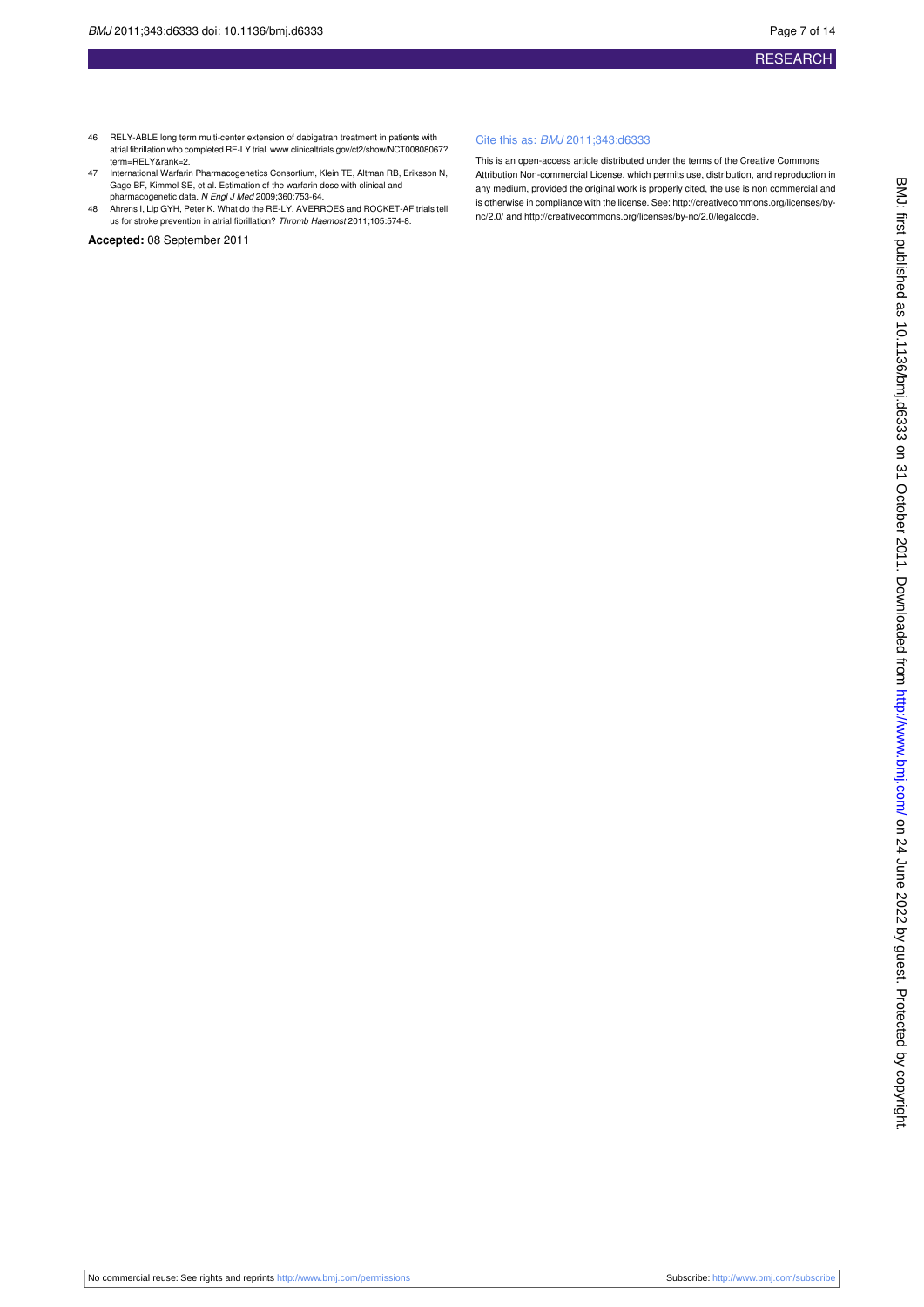- 46 RELY-ABLE long term multi-center extension of dabigatran treatment in patients with atrial fibrillation who completed RE-LY trial. [www.clinicaltrials.gov/ct2/show/NCT00808067?](http://www.clinicaltrials.gov/ct2/show/NCT00808067?term=RELY&rank=2) [term=RELY&rank=2](http://www.clinicaltrials.gov/ct2/show/NCT00808067?term=RELY&rank=2).
- 47 International Warfarin Pharmacogenetics Consortium, Klein TE, Altman RB, Eriksson N, Gage BF, Kimmel SE, et al. Estimation of the warfarin dose with clinical and<br>pharmacogenetic data. *N Engl J Med* 2009;360:753-64.
- 48 Ahrens I, Lip GYH, Peter K. What do the RE-LY, AVERROES and ROCKET-AF trials tell us for stroke prevention in atrial fibrillation? Thromb Haemost 2011;105:574-8.

**Accepted:** 08 September 2011

#### Cite this as: BMJ 2011;343:d6333

This is an open-access article distributed under the terms of the Creative Commons Attribution Non-commercial License, which permits use, distribution, and reproduction in any medium, provided the original work is properly cited, the use is non commercial and is otherwise in compliance with the license. See: [http://creativecommons.org/licenses/by](http://creativecommons.org/licenses/by-nc/2.0/)[nc/2.0/](http://creativecommons.org/licenses/by-nc/2.0/) and<http://creativecommons.org/licenses/by-nc/2.0/legalcode>.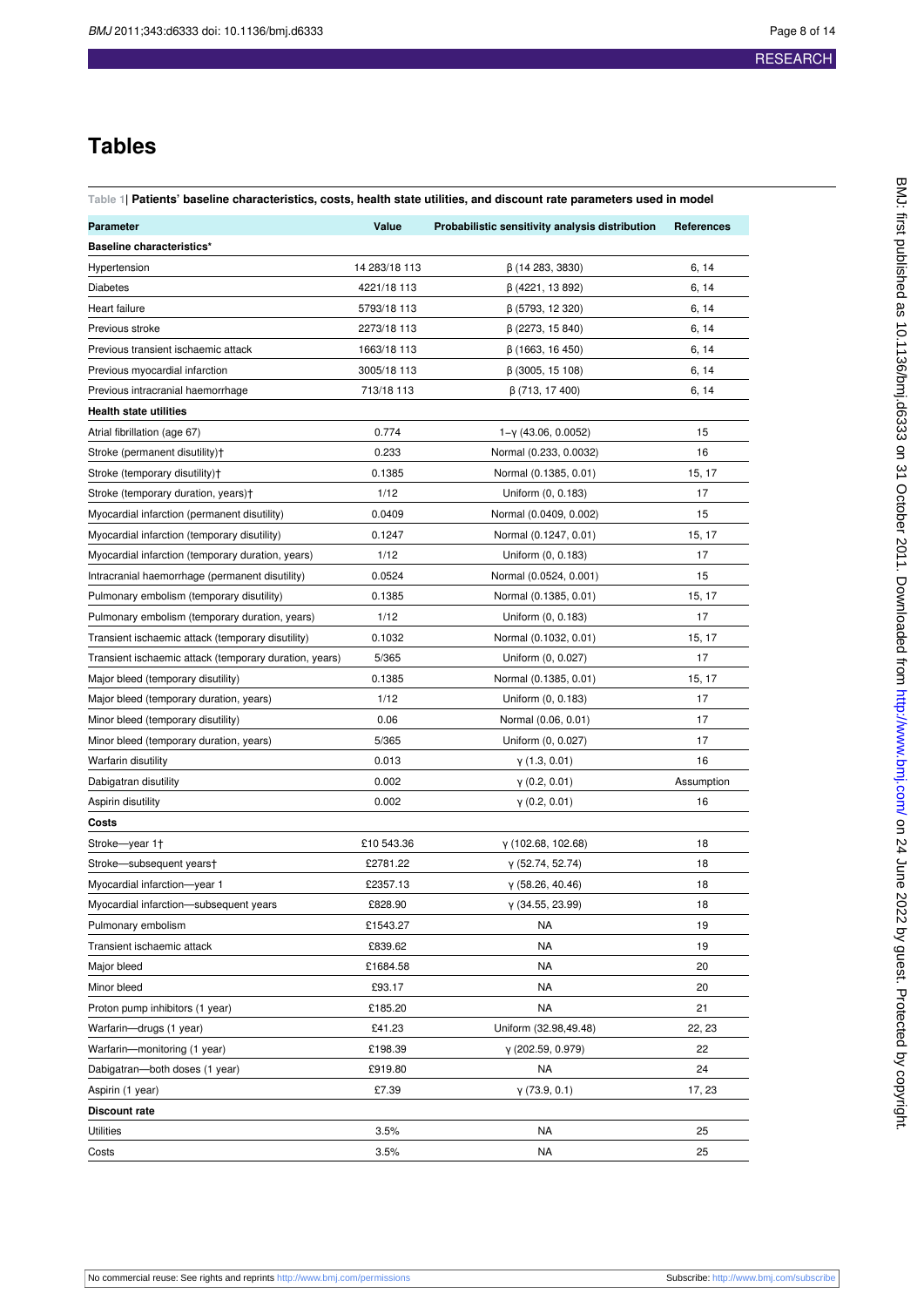## **Tables**

<span id="page-7-0"></span>

| Table 1  Patients' baseline characteristics, costs, health state utilities, and discount rate parameters used in model |
|------------------------------------------------------------------------------------------------------------------------|
|------------------------------------------------------------------------------------------------------------------------|

| <b>Parameter</b>                                       | Value<br>Probabilistic sensitivity analysis distribution |                            | References |
|--------------------------------------------------------|----------------------------------------------------------|----------------------------|------------|
| Baseline characteristics*                              |                                                          |                            |            |
| Hypertension                                           | 14 283/18 113                                            | $\beta$ (14 283, 3830)     | 6, 14      |
| <b>Diabetes</b>                                        | 4221/18 113                                              | $\beta$ (4221, 13 892)     | 6, 14      |
| Heart failure                                          | 5793/18 113                                              | $\beta$ (5793, 12 320)     | 6, 14      |
| Previous stroke                                        | 2273/18 113                                              | $\beta$ (2273, 15 840)     | 6, 14      |
| Previous transient ischaemic attack                    | 1663/18 113                                              | $\beta$ (1663, 16 450)     | 6, 14      |
| Previous myocardial infarction                         | 3005/18 113                                              | $\beta$ (3005, 15 108)     | 6, 14      |
| Previous intracranial haemorrhage                      | 713/18 113                                               | $\beta$ (713, 17 400)      | 6, 14      |
| <b>Health state utilities</b>                          |                                                          |                            |            |
| Atrial fibrillation (age 67)                           | 0.774                                                    | $1-\gamma$ (43.06, 0.0052) | 15         |
| Stroke (permanent disutility)†                         | 0.233                                                    | Normal (0.233, 0.0032)     | 16         |
| Stroke (temporary disutility)+                         | 0.1385                                                   | Normal (0.1385, 0.01)      | 15, 17     |
| Stroke (temporary duration, years)+                    | 1/12                                                     | Uniform (0, 0.183)         | 17         |
| Myocardial infarction (permanent disutility)           | 0.0409                                                   | Normal (0.0409, 0.002)     | 15         |
| Myocardial infarction (temporary disutility)           | 0.1247                                                   | Normal (0.1247, 0.01)      | 15, 17     |
| Myocardial infarction (temporary duration, years)      | 1/12                                                     | Uniform (0, 0.183)         | 17         |
| Intracranial haemorrhage (permanent disutility)        | 0.0524                                                   | Normal (0.0524, 0.001)     | 15         |
| Pulmonary embolism (temporary disutility)              | 0.1385                                                   | Normal (0.1385, 0.01)      | 15, 17     |
| Pulmonary embolism (temporary duration, years)         | 1/12                                                     | Uniform (0, 0.183)         | 17         |
| Transient ischaemic attack (temporary disutility)      | 0.1032                                                   | Normal (0.1032, 0.01)      | 15, 17     |
| Transient ischaemic attack (temporary duration, years) | 5/365                                                    | Uniform (0, 0.027)         | 17         |
| Major bleed (temporary disutility)                     | 0.1385                                                   | Normal (0.1385, 0.01)      | 15, 17     |
| Major bleed (temporary duration, years)                | 1/12                                                     | Uniform (0, 0.183)         | 17         |
| Minor bleed (temporary disutility)                     | 0.06                                                     | Normal (0.06, 0.01)        | 17         |
| Minor bleed (temporary duration, years)                | 5/365                                                    | Uniform (0, 0.027)         | 17         |
| Warfarin disutility                                    | 0.013                                                    | $\gamma$ (1.3, 0.01)       | 16         |
| Dabigatran disutility                                  | 0.002                                                    | $\gamma$ (0.2, 0.01)       | Assumption |
| Aspirin disutility                                     | 0.002                                                    | $\gamma$ (0.2, 0.01)       | 16         |
| Costs                                                  |                                                          |                            |            |
| Stroke-year 1+                                         | £10 543.36                                               | γ (102.68, 102.68)         | 18         |
| Stroke-subsequent years+                               | £2781.22                                                 | γ (52.74, 52.74)           | 18         |
| Myocardial infarction-year 1                           | £2357.13                                                 | $\gamma$ (58.26, 40.46)    | 18         |
| Myocardial infarction-subsequent years                 | £828.90                                                  | γ (34.55, 23.99)           | 18         |
| Pulmonary embolism                                     | £1543.27                                                 | NA                         | 19         |
| Transient ischaemic attack                             | £839.62                                                  | <b>NA</b>                  | 19         |
| Major bleed                                            | £1684.58                                                 | <b>NA</b>                  | 20         |
| Minor bleed                                            | £93.17                                                   | <b>NA</b>                  | 20         |
| Proton pump inhibitors (1 year)                        | £185.20                                                  | NA                         | 21         |
| Warfarin-drugs (1 year)                                | £41.23                                                   | Uniform (32.98,49.48)      | 22, 23     |
| Warfarin-monitoring (1 year)                           | £198.39                                                  | y (202.59, 0.979)          | 22         |
| Dabigatran-both doses (1 year)                         | £919.80                                                  | <b>NA</b>                  | 24         |
| Aspirin (1 year)                                       | £7.39                                                    | y(73.9, 0.1)               | 17, 23     |
| <b>Discount rate</b>                                   |                                                          |                            |            |
| <b>Utilities</b>                                       | 3.5%                                                     | <b>NA</b>                  | 25         |
| Costs                                                  | 3.5%                                                     | NA                         | 25         |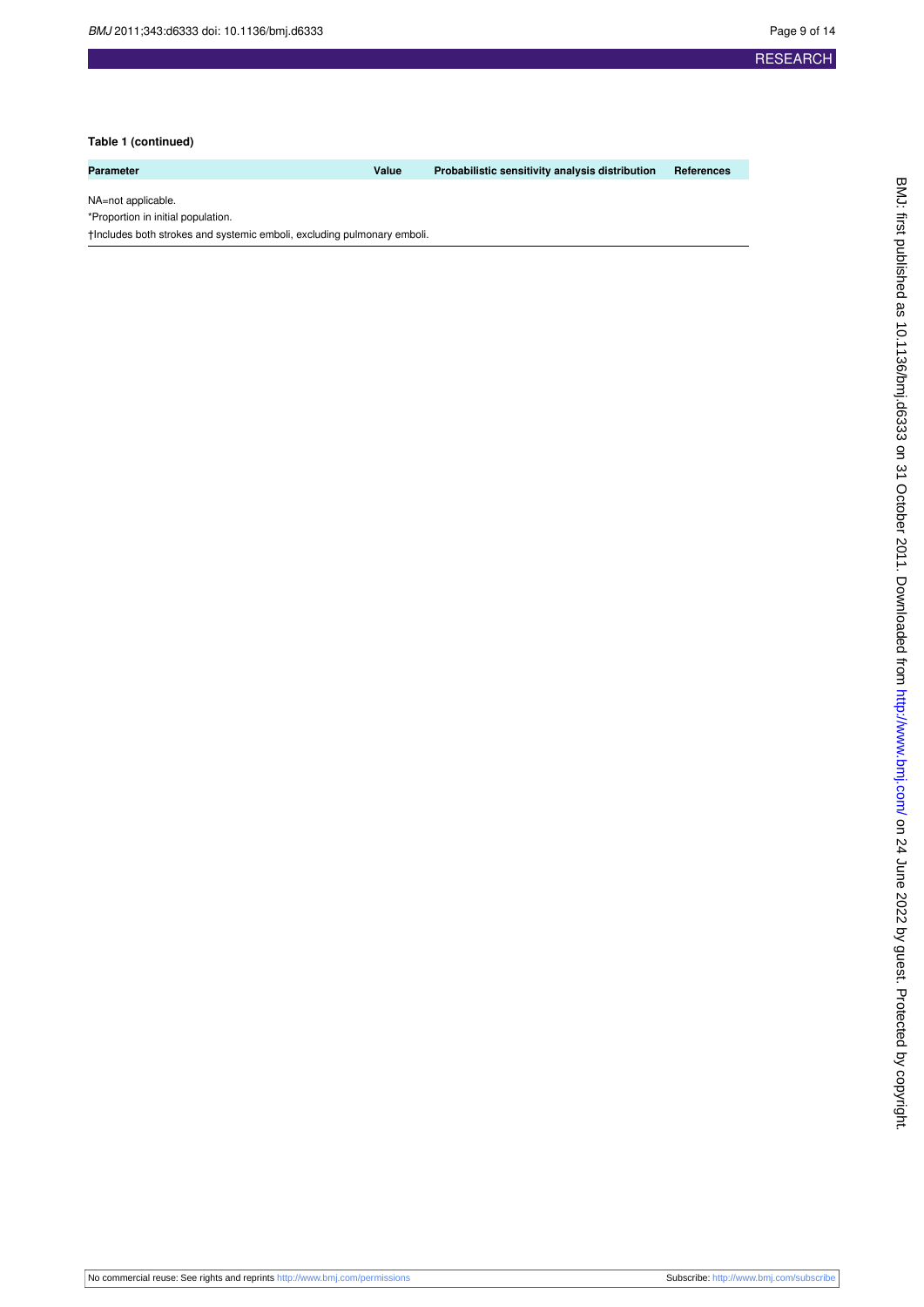**RESEARCH** 

#### **Table 1 (continued)**

**Parameter Value Probabilistic sensitivity analysis distribution References**

NA=not applicable.

\*Proportion in initial population.

†Includes both strokes and systemic emboli, excluding pulmonary emboli.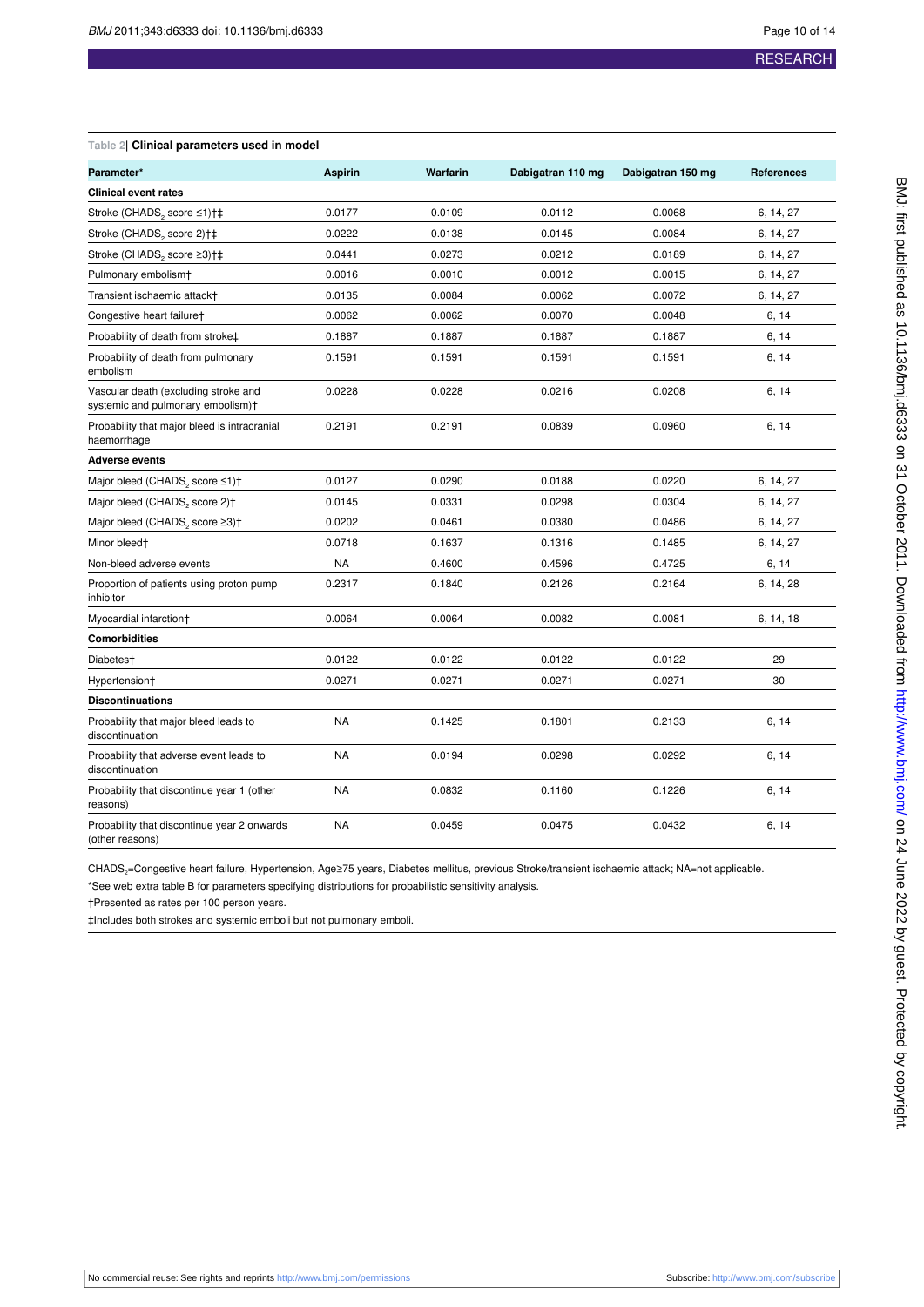#### <span id="page-9-0"></span>**Table 2| Clinical parameters used in model**

| Parameter*                                                                | <b>Aspirin</b> | Warfarin | Dabigatran 110 mg | Dabigatran 150 mg | <b>References</b> |
|---------------------------------------------------------------------------|----------------|----------|-------------------|-------------------|-------------------|
| <b>Clinical event rates</b>                                               |                |          |                   |                   |                   |
| Stroke (CHADS, score ≤1)†‡                                                | 0.0177         | 0.0109   | 0.0112            | 0.0068            | 6, 14, 27         |
| Stroke (CHADS, score 2)++                                                 | 0.0222         | 0.0138   | 0.0145            | 0.0084            | 6, 14, 27         |
| Stroke (CHADS, score ≥3)†‡                                                | 0.0441         | 0.0273   | 0.0212            | 0.0189            | 6, 14, 27         |
| Pulmonary embolism <sup>+</sup>                                           | 0.0016         | 0.0010   | 0.0012            | 0.0015            | 6, 14, 27         |
| Transient ischaemic attack+                                               | 0.0135         | 0.0084   | 0.0062            | 0.0072            | 6, 14, 27         |
| Congestive heart failure†                                                 | 0.0062         | 0.0062   | 0.0070            | 0.0048            | 6, 14             |
| Probability of death from stroke‡                                         | 0.1887         | 0.1887   | 0.1887            | 0.1887            | 6, 14             |
| Probability of death from pulmonary<br>embolism                           | 0.1591         | 0.1591   | 0.1591            | 0.1591            | 6, 14             |
| Vascular death (excluding stroke and<br>systemic and pulmonary embolism)+ | 0.0228         | 0.0228   | 0.0216            | 0.0208            | 6, 14             |
| Probability that major bleed is intracranial<br>haemorrhage               | 0.2191         | 0.2191   | 0.0839            | 0.0960            | 6, 14             |
| <b>Adverse events</b>                                                     |                |          |                   |                   |                   |
| Major bleed (CHADS <sub>2</sub> score $\leq 1$ ) <sup>+</sup>             | 0.0127         | 0.0290   | 0.0188            | 0.0220            | 6, 14, 27         |
| Major bleed (CHADS, score 2)+                                             | 0.0145         | 0.0331   | 0.0298            | 0.0304            | 6, 14, 27         |
| Major bleed (CHADS, score ≥3)†                                            | 0.0202         | 0.0461   | 0.0380            | 0.0486            | 6, 14, 27         |
| Minor bleed†                                                              | 0.0718         | 0.1637   | 0.1316            | 0.1485            | 6, 14, 27         |
| Non-bleed adverse events                                                  | <b>NA</b>      | 0.4600   | 0.4596            | 0.4725            | 6, 14             |
| Proportion of patients using proton pump<br>inhibitor                     | 0.2317         | 0.1840   | 0.2126            | 0.2164            | 6, 14, 28         |
| Myocardial infarction†                                                    | 0.0064         | 0.0064   | 0.0082            | 0.0081            | 6, 14, 18         |
| <b>Comorbidities</b>                                                      |                |          |                   |                   |                   |
| Diabetes <sup>+</sup>                                                     | 0.0122         | 0.0122   | 0.0122            | 0.0122            | 29                |
| Hypertension+                                                             | 0.0271         | 0.0271   | 0.0271            | 0.0271            | 30                |
| <b>Discontinuations</b>                                                   |                |          |                   |                   |                   |
| Probability that major bleed leads to<br>discontinuation                  | <b>NA</b>      | 0.1425   | 0.1801            | 0.2133            | 6, 14             |
| Probability that adverse event leads to<br>discontinuation                | <b>NA</b>      | 0.0194   | 0.0298            | 0.0292            | 6, 14             |
| Probability that discontinue year 1 (other<br>reasons)                    | <b>NA</b>      | 0.0832   | 0.1160            | 0.1226            | 6, 14             |
| Probability that discontinue year 2 onwards<br>(other reasons)            | <b>NA</b>      | 0.0459   | 0.0475            | 0.0432            | 6, 14             |

CHADS<sub>2</sub>=Congestive heart failure, Hypertension, Age≥75 years, Diabetes mellitus, previous Stroke/transient ischaemic attack; NA=not applicable. \*See web extra table B for parameters specifying distributions for probabilistic sensitivity analysis.

†Presented as rates per 100 person years.

‡Includes both strokes and systemic emboli but not pulmonary emboli.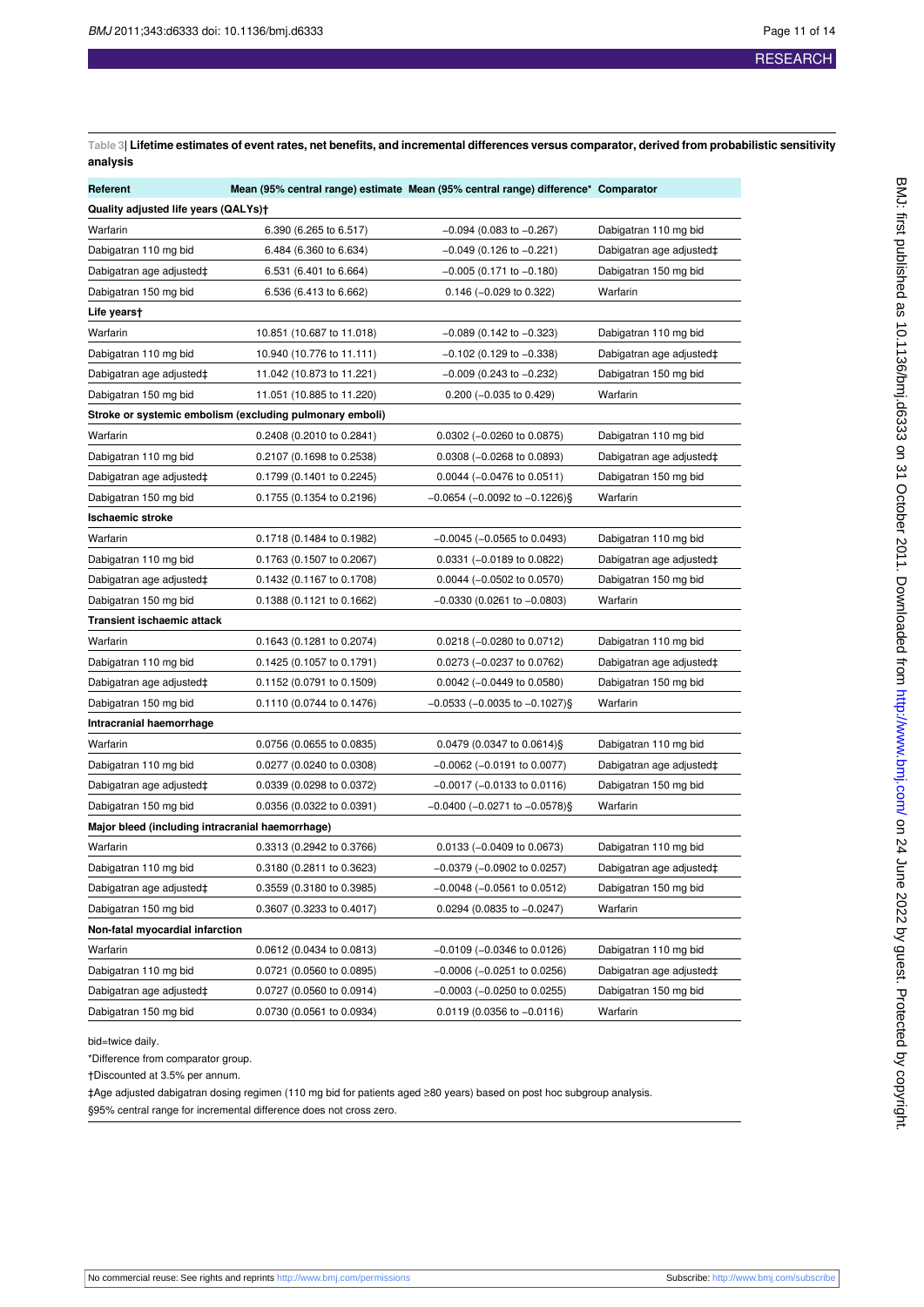<span id="page-10-0"></span>**Table 3| Lifetime estimates of event rates, net benefits, and incremental differences versus comparator, derived from probabilistic sensitivity analysis**

| Referent                                         |                                                          | Mean (95% central range) estimate Mean (95% central range) difference* Comparator |                          |  |  |  |
|--------------------------------------------------|----------------------------------------------------------|-----------------------------------------------------------------------------------|--------------------------|--|--|--|
| Quality adjusted life years (QALYs)†             |                                                          |                                                                                   |                          |  |  |  |
| Warfarin                                         | 6.390 (6.265 to 6.517)                                   | $-0.094$ (0.083 to $-0.267$ )                                                     | Dabigatran 110 mg bid    |  |  |  |
| Dabigatran 110 mg bid                            | 6.484 (6.360 to 6.634)                                   | $-0.049$ (0.126 to $-0.221$ )                                                     | Dabigatran age adjusted‡ |  |  |  |
| Dabigatran age adjusted‡                         | 6.531 (6.401 to 6.664)                                   | $-0.005$ (0.171 to $-0.180$ )                                                     | Dabigatran 150 mg bid    |  |  |  |
| Dabigatran 150 mg bid                            | 6.536 (6.413 to 6.662)                                   | $0.146$ (-0.029 to 0.322)                                                         | Warfarin                 |  |  |  |
| Life years†                                      |                                                          |                                                                                   |                          |  |  |  |
| Warfarin                                         | 10.851 (10.687 to 11.018)                                | $-0.089$ (0.142 to $-0.323$ )                                                     | Dabigatran 110 mg bid    |  |  |  |
| Dabigatran 110 mg bid                            | 10.940 (10.776 to 11.111)                                | $-0.102$ (0.129 to $-0.338$ )                                                     | Dabigatran age adjusted‡ |  |  |  |
| Dabigatran age adjusted‡                         | 11.042 (10.873 to 11.221)                                | $-0.009$ (0.243 to $-0.232$ )                                                     | Dabigatran 150 mg bid    |  |  |  |
| Dabigatran 150 mg bid                            | 11.051 (10.885 to 11.220)                                | $0.200$ (-0.035 to 0.429)                                                         | Warfarin                 |  |  |  |
|                                                  | Stroke or systemic embolism (excluding pulmonary emboli) |                                                                                   |                          |  |  |  |
| Warfarin                                         | 0.2408 (0.2010 to 0.2841)                                | 0.0302 (-0.0260 to 0.0875)                                                        | Dabigatran 110 mg bid    |  |  |  |
| Dabigatran 110 mg bid                            | 0.2107 (0.1698 to 0.2538)                                | $0.0308 (-0.0268 \text{ to } 0.0893)$                                             | Dabigatran age adjusted‡ |  |  |  |
| Dabigatran age adjusted‡                         | 0.1799 (0.1401 to 0.2245)                                | $0.0044$ (-0.0476 to 0.0511)                                                      | Dabigatran 150 mg bid    |  |  |  |
| Dabigatran 150 mg bid                            | 0.1755 (0.1354 to 0.2196)                                | $-0.0654$ ( $-0.0092$ to $-0.1226$ )§                                             | Warfarin                 |  |  |  |
| Ischaemic stroke                                 |                                                          |                                                                                   |                          |  |  |  |
| Warfarin                                         | 0.1718 (0.1484 to 0.1982)                                | $-0.0045$ ( $-0.0565$ to 0.0493)                                                  | Dabigatran 110 mg bid    |  |  |  |
| Dabigatran 110 mg bid                            | 0.1763 (0.1507 to 0.2067)                                | 0.0331 (-0.0189 to 0.0822)                                                        | Dabigatran age adjusted‡ |  |  |  |
| Dabigatran age adjusted‡                         | 0.1432 (0.1167 to 0.1708)                                | $0.0044$ (-0.0502 to 0.0570)                                                      | Dabigatran 150 mg bid    |  |  |  |
| Dabigatran 150 mg bid                            | 0.1388 (0.1121 to 0.1662)                                | $-0.0330$ (0.0261 to $-0.0803$ )                                                  | Warfarin                 |  |  |  |
| Transient ischaemic attack                       |                                                          |                                                                                   |                          |  |  |  |
| Warfarin                                         | $0.1643(0.1281)$ to $0.2074$ )                           | $0.0218 (-0.0280 \text{ to } 0.0712)$                                             | Dabigatran 110 mg bid    |  |  |  |
| Dabigatran 110 mg bid                            | 0.1425 (0.1057 to 0.1791)                                | 0.0273 (-0.0237 to 0.0762)                                                        | Dabigatran age adjusted‡ |  |  |  |
| Dabigatran age adjusted‡                         | 0.1152 (0.0791 to 0.1509)                                | 0.0042 (-0.0449 to 0.0580)                                                        | Dabigatran 150 mg bid    |  |  |  |
| Dabigatran 150 mg bid                            | 0.1110 (0.0744 to 0.1476)                                | $-0.0533$ ( $-0.0035$ to $-0.1027$ )§                                             | Warfarin                 |  |  |  |
| Intracranial haemorrhage                         |                                                          |                                                                                   |                          |  |  |  |
| Warfarin                                         | $0.0756$ (0.0655 to 0.0835)                              | $0.0479$ (0.0347 to 0.0614)§                                                      | Dabigatran 110 mg bid    |  |  |  |
| Dabigatran 110 mg bid                            | 0.0277 (0.0240 to 0.0308)                                | $-0.0062$ ( $-0.0191$ to 0.0077)                                                  | Dabigatran age adjusted‡ |  |  |  |
| Dabigatran age adjusted‡                         | 0.0339 (0.0298 to 0.0372)                                | $-0.0017$ ( $-0.0133$ to 0.0116)                                                  | Dabigatran 150 mg bid    |  |  |  |
| Dabigatran 150 mg bid                            | 0.0356 (0.0322 to 0.0391)                                | $-0.0400$ ( $-0.0271$ to $-0.0578$ )§                                             | Warfarin                 |  |  |  |
| Major bleed (including intracranial haemorrhage) |                                                          |                                                                                   |                          |  |  |  |
| Warfarin                                         | 0.3313 (0.2942 to 0.3766)                                | $0.0133 (-0.0409)$ to $0.0673$ )                                                  | Dabigatran 110 mg bid    |  |  |  |
| Dabigatran 110 mg bid                            | 0.3180 (0.2811 to 0.3623)                                | $-0.0379$ ( $-0.0902$ to 0.0257)                                                  | Dabigatran age adjusted‡ |  |  |  |
| Dabigatran age adjusted‡                         | 0.3559 (0.3180 to 0.3985)                                | $-0.0048$ ( $-0.0561$ to 0.0512)                                                  | Dabigatran 150 mg bid    |  |  |  |
| Dabigatran 150 mg bid                            | 0.3607 (0.3233 to 0.4017)                                | $0.0294$ (0.0835 to $-0.0247$ )                                                   | Warfarin                 |  |  |  |
| Non-fatal myocardial infarction                  |                                                          |                                                                                   |                          |  |  |  |
| Warfarin                                         | 0.0612 (0.0434 to 0.0813)                                | $-0.0109$ ( $-0.0346$ to 0.0126)                                                  | Dabigatran 110 mg bid    |  |  |  |
| Dabigatran 110 mg bid                            | 0.0721 (0.0560 to 0.0895)                                | $-0.0006$ ( $-0.0251$ to 0.0256)                                                  | Dabigatran age adjusted‡ |  |  |  |
| Dabigatran age adjusted‡                         | 0.0727 (0.0560 to 0.0914)                                | $-0.0003$ ( $-0.0250$ to 0.0255)                                                  | Dabigatran 150 mg bid    |  |  |  |
| Dabigatran 150 mg bid                            | 0.0730 (0.0561 to 0.0934)                                | 0.0119 (0.0356 to -0.0116)                                                        | Warfarin                 |  |  |  |

bid=twice daily.

\*Difference from comparator group.

†Discounted at 3.5% per annum.

‡Age adjusted dabigatran dosing regimen (110 mg bid for patients aged ≥80 years) based on post hoc subgroup analysis.

§95% central range for incremental difference does not cross zero.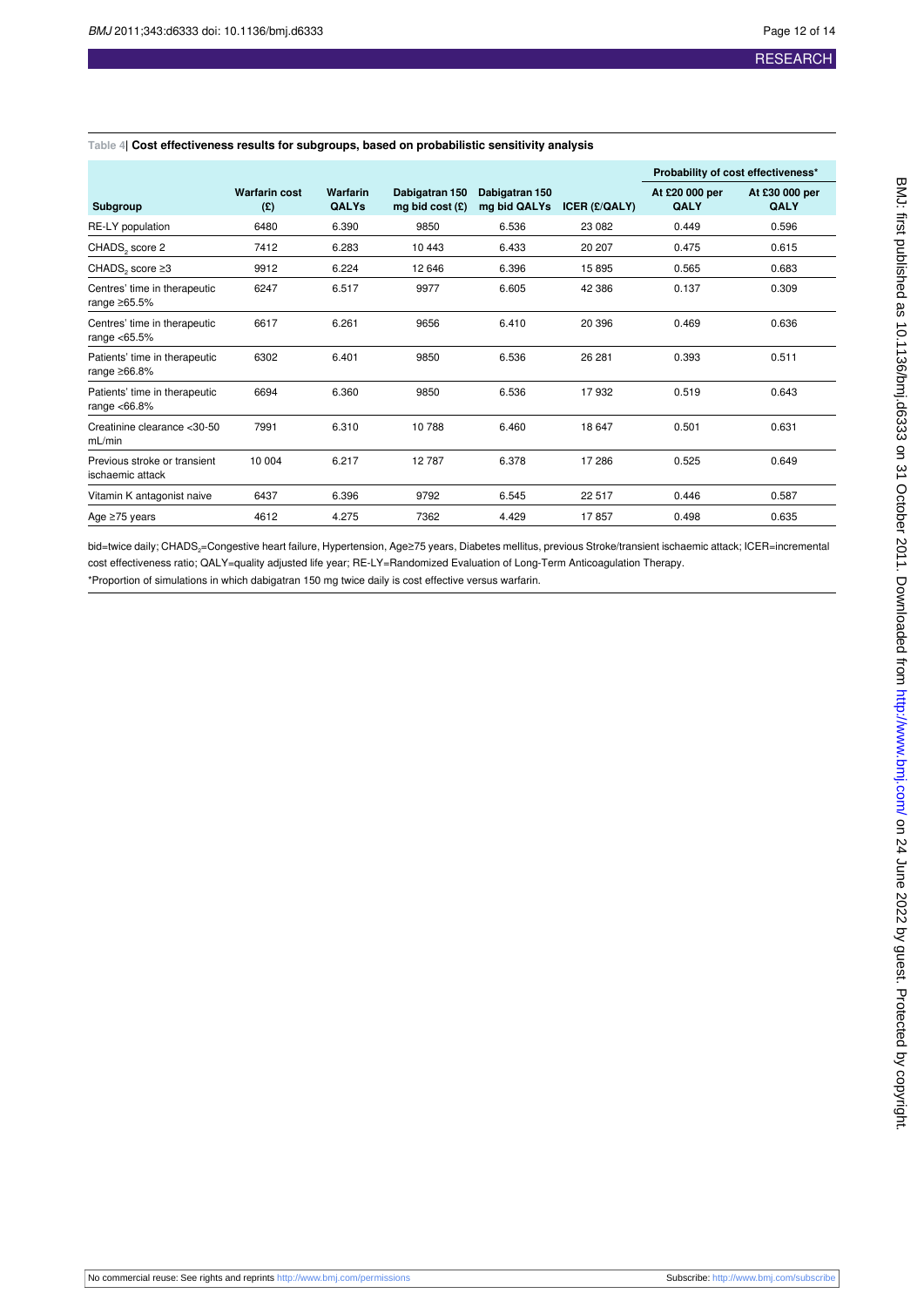#### <span id="page-11-0"></span>**Table 4| Cost effectiveness results for subgroups, based on probabilistic sensitivity analysis**

|                                                      |                             |                          |                                     | Probability of cost effectiveness* |                      |                               |                               |
|------------------------------------------------------|-----------------------------|--------------------------|-------------------------------------|------------------------------------|----------------------|-------------------------------|-------------------------------|
| Subgroup                                             | <b>Warfarin cost</b><br>(E) | Warfarin<br><b>QALYs</b> | Dabigatran 150<br>mg bid cost $(E)$ | Dabigatran 150<br>mg bid QALYs     | <b>ICER (£/QALY)</b> | At £20 000 per<br><b>QALY</b> | At £30 000 per<br><b>QALY</b> |
| RE-LY population                                     | 6480                        | 6.390                    | 9850                                | 6.536                              | 23 082               | 0.449                         | 0.596                         |
| CHADS <sub>2</sub> score 2                           | 7412                        | 6.283                    | 10 443                              | 6.433                              | 20 20 7              | 0.475                         | 0.615                         |
| CHADS, score ≥3                                      | 9912                        | 6.224                    | 12 646                              | 6.396                              | 15895                | 0.565                         | 0.683                         |
| Centres' time in therapeutic<br>range $\geq 65.5\%$  | 6247                        | 6.517                    | 9977                                | 6.605                              | 42 386               | 0.137                         | 0.309                         |
| Centres' time in therapeutic<br>range $<$ 65.5%      | 6617                        | 6.261                    | 9656                                | 6.410                              | 20 396               | 0.469                         | 0.636                         |
| Patients' time in therapeutic<br>range $\geq 66.8\%$ | 6302                        | 6.401                    | 9850                                | 6.536                              | 26 281               | 0.393                         | 0.511                         |
| Patients' time in therapeutic<br>range $<66.8\%$     | 6694                        | 6.360                    | 9850                                | 6.536                              | 17932                | 0.519                         | 0.643                         |
| Creatinine clearance <30-50<br>mL/min                | 7991                        | 6.310                    | 10 788                              | 6.460                              | 18 647               | 0.501                         | 0.631                         |
| Previous stroke or transient<br>ischaemic attack     | 10 004                      | 6.217                    | 12 787                              | 6.378                              | 17 286               | 0.525                         | 0.649                         |
| Vitamin K antagonist naive                           | 6437                        | 6.396                    | 9792                                | 6.545                              | 22 517               | 0.446                         | 0.587                         |
| Age $\geq$ 75 years                                  | 4612                        | 4.275                    | 7362                                | 4.429                              | 17857                | 0.498                         | 0.635                         |

bid=twice daily; CHADS2=Congestive heart failure, Hypertension, Age≥75 years, Diabetes mellitus, previous Stroke/transient ischaemic attack; ICER=incremental cost effectiveness ratio; QALY=quality adjusted life year; RE-LY=Randomized Evaluation of Long-Term Anticoagulation Therapy.

\*Proportion of simulations in which dabigatran 150 mg twice daily is cost effective versus warfarin.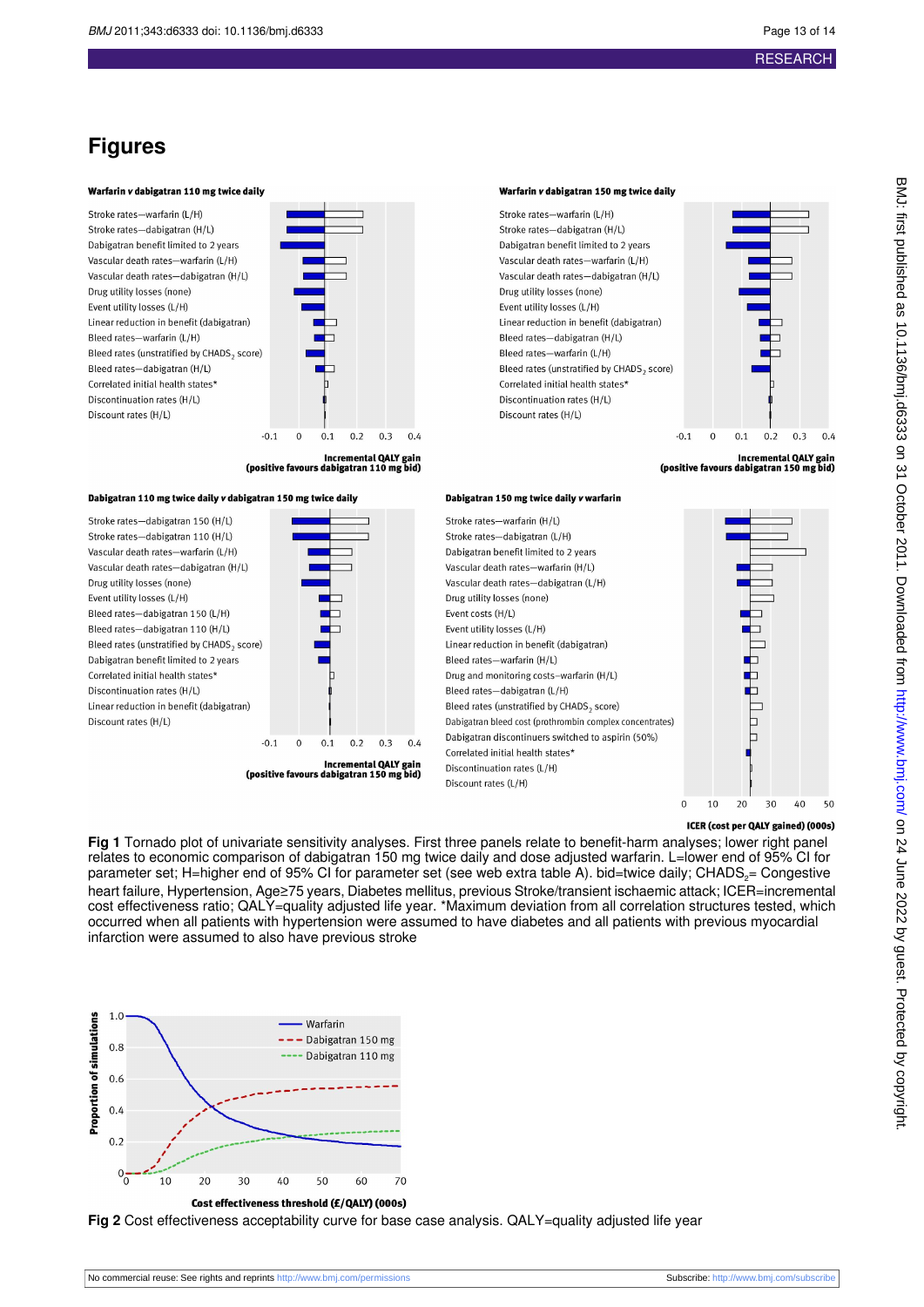### **Figures**

#### <span id="page-12-0"></span>Warfarin v dabigatran 110 mg twice daily

Stroke rates-warfarin (L/H) Stroke rates-dabigatran (H/L) Dabigatran benefit limited to 2 years Vascular death rates-warfarin (L/H) Vascular death rates-dabigatran (H/L) Drug utility losses (none) Event utility losses (L/H) Linear reduction in benefit (dabigatran) Bleed rates-warfarin (L/H) Bleed rates (unstratified by CHADS<sub>2</sub> score) Bleed rates-dabigatran (H/L) Correlated initial health states\* Discontinuation rates (H/L) Discount rates (H/L)



Incremental QALY gain<br>(positive favours dabigatran 110 mg bid)

#### Dabigatran 110 mg twice daily v dabigatran 150 mg twice daily

Stroke rates-dabigatran 150 (H/L) Stroke rates-dabigatran 110 (H/L) Vascular death rates-warfarin (L/H) Vascular death rates-dabigatran (H/L) Drug utility losses (none) Event utility losses (L/H) Bleed rates-dabigatran 150 (L/H) Bleed rates-dabigatran 110 (H/L) Bleed rates (unstratified by CHADS<sub>2</sub> score) Dabigatran benefit limited to 2 years Correlated initial health states\* Discontinuation rates (H/I) Linear reduction in benefit (dabigatran) Discount rates (H/L)  $-0.1$  $\Omega$  $0.1$  $0.2$  $0.3$ Incremental QALY gain<br>(positive favours dabigatran 150 mg bid)



Warfarin v dabigatran 150 mg twice daily

Stroke rates-warfarin (L/H)

Dabigatran 150 mg twice daily y warfarin

Stroke rates-dabigatran (H/L)

# $0.3$  $0.4$  $0.2$

Incremental QALY gain<br>(positive favours dabigatran 150 mg bid)



## ℎ ┢╕  $\Omega$  $10$ 20  $30$  $40$

ICER (cost per QALY gained) (000s)

50

<span id="page-12-1"></span>**Fig 1** Tornado plot of univariate sensitivity analyses. First three panels relate to benefit-harm analyses; lower right panel relates to economic comparison of dabigatran 150 mg twice daily and dose adjusted warfarin. L=lower end of 95% CI for parameter set; H=higher end of 95% CI for parameter set (see web extra table A). bid=twice daily; CHADS<sub>2</sub>= Congestive heart failure, Hypertension, Age≥75 years, Diabetes mellitus, previous Stroke/transient ischaemic attack; ICER=incremental cost effectiveness ratio; QALY=quality adjusted life year. \*Maximum deviation from all correlation structures tested, which occurred when all patients with hypertension were assumed to have diabetes and all patients with previous myocardial infarction were assumed to also have previous stroke

 $0.4$ 



**Fig 2** Cost effectiveness acceptability curve for base case analysis. QALY=quality adjusted life year